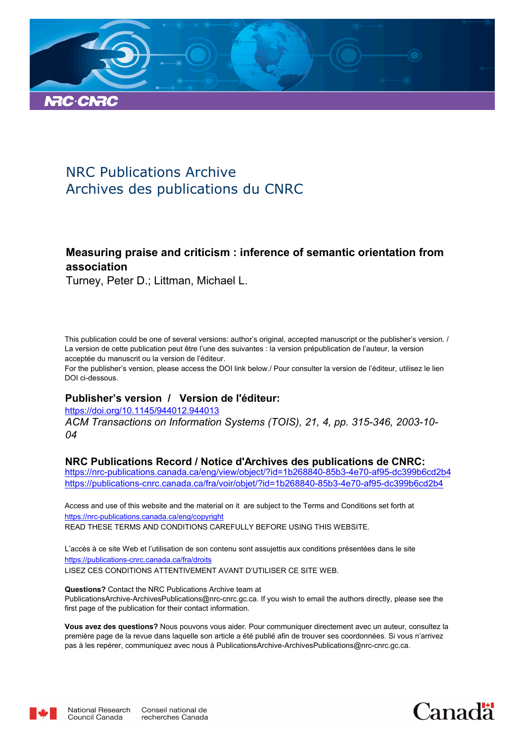

# NRC Publications Archive Archives des publications du CNRC

# **Measuring praise and criticism : inference of semantic orientation from association**

Turney, Peter D.; Littman, Michael L.

This publication could be one of several versions: author's original, accepted manuscript or the publisher's version. / La version de cette publication peut être l'une des suivantes : la version prépublication de l'auteur, la version acceptée du manuscrit ou la version de l'éditeur.

For the publisher's version, please access the DOI link below./ Pour consulter la version de l'éditeur, utilisez le lien DOI ci-dessous.

# **Publisher's version / Version de l'éditeur:**

https://doi.org/10.1145/944012.944013

*ACM Transactions on Information Systems (TOIS), 21, 4, pp. 315-346, 2003-10- 04*

# **NRC Publications Record / Notice d'Archives des publications de CNRC:**

https://nrc-publications.canada.ca/eng/view/object/?id=1b268840-85b3-4e70-af95-dc399b6cd2b4 https://publications-cnrc.canada.ca/fra/voir/objet/?id=1b268840-85b3-4e70-af95-dc399b6cd2b4

READ THESE TERMS AND CONDITIONS CAREFULLY BEFORE USING THIS WEBSITE. https://nrc-publications.canada.ca/eng/copyright Access and use of this website and the material on it are subject to the Terms and Conditions set forth at

https://publications-cnrc.canada.ca/fra/droits L'accès à ce site Web et l'utilisation de son contenu sont assujettis aux conditions présentées dans le site LISEZ CES CONDITIONS ATTENTIVEMENT AVANT D'UTILISER CE SITE WEB.

**Questions?** Contact the NRC Publications Archive team at PublicationsArchive-ArchivesPublications@nrc-cnrc.gc.ca. If you wish to email the authors directly, please see the first page of the publication for their contact information.

**Vous avez des questions?** Nous pouvons vous aider. Pour communiquer directement avec un auteur, consultez la première page de la revue dans laquelle son article a été publié afin de trouver ses coordonnées. Si vous n'arrivez pas à les repérer, communiquez avec nous à PublicationsArchive-ArchivesPublications@nrc-cnrc.gc.ca.



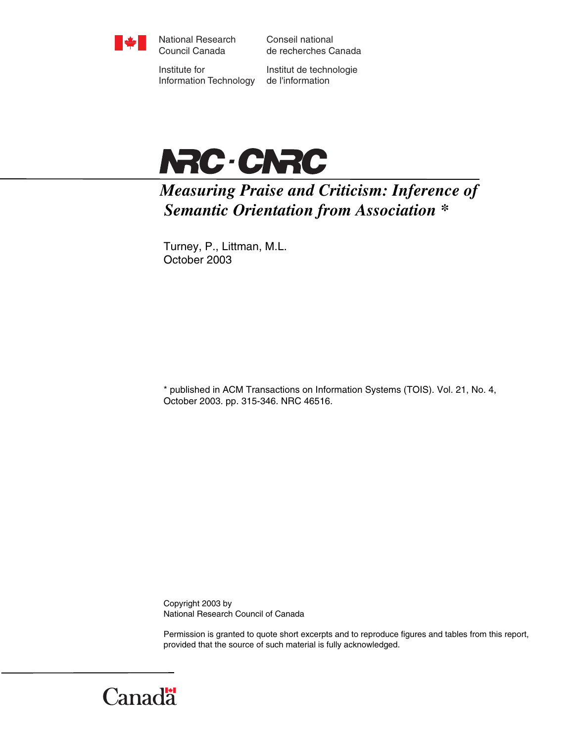

National Research Council Canada

Conseil national de recherches Canada

Institute for Information Technology

Institut de technologie de l'information



*Measuring Praise and Criticism: Inference of Semantic Orientation from Association \** 

Turney, P., Littman, M.L. October 2003

\* published in ACM Transactions on Information Systems (TOIS). Vol. 21, No. 4, October 2003. pp. 315-346. NRC 46516.

Copyright 2003 by National Research Council of Canada

Permission is granted to quote short excerpts and to reproduce figures and tables from this report, provided that the source of such material is fully acknowledged.

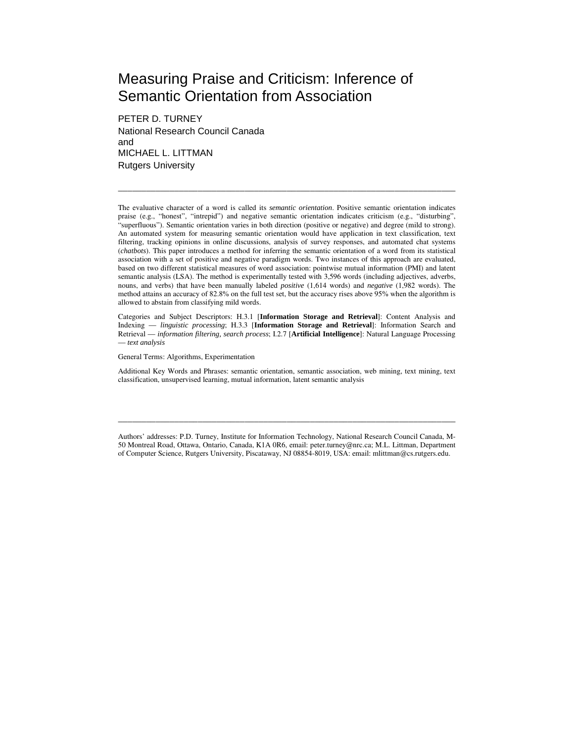# Measuring Praise and Criticism: Inference of Semantic Orientation from Association

PETER D. TURNEY National Research Council Canada and MICHAEL L. LITTMAN Rutgers University

The evaluative character of a word is called its *semantic orientation*. Positive semantic orientation indicates praise (e.g., "honest", "intrepid") and negative semantic orientation indicates criticism (e.g., "disturbing", "superfluous"). Semantic orientation varies in both direction (positive or negative) and degree (mild to strong). An automated system for measuring semantic orientation would have application in text classification, text filtering, tracking opinions in online discussions, analysis of survey responses, and automated chat systems (*chatbots*). This paper introduces a method for inferring the semantic orientation of a word from its statistical association with a set of positive and negative paradigm words. Two instances of this approach are evaluated, based on two different statistical measures of word association: pointwise mutual information (PMI) and latent semantic analysis (LSA). The method is experimentally tested with 3,596 words (including adjectives, adverbs, nouns, and verbs) that have been manually labeled *positive* (1,614 words) and *negative* (1,982 words). The method attains an accuracy of 82.8% on the full test set, but the accuracy rises above 95% when the algorithm is allowed to abstain from classifying mild words.

\_\_\_\_\_\_\_\_\_\_\_\_\_\_\_\_\_\_\_\_\_\_\_\_\_\_\_\_\_\_\_\_\_\_\_\_\_\_\_\_\_\_\_\_\_\_\_\_\_\_\_\_\_\_\_\_\_\_\_\_\_\_\_\_\_\_\_\_\_\_\_\_

Categories and Subject Descriptors: H.3.1 [**Information Storage and Retrieval**]: Content Analysis and Indexing — *linguistic processing*; H.3.3 [**Information Storage and Retrieval**]: Information Search and Retrieval — *information filtering, search process*; I.2.7 [**Artificial Intelligence**]: Natural Language Processing — *text analysis*

General Terms: Algorithms, Experimentation

Additional Key Words and Phrases: semantic orientation, semantic association, web mining, text mining, text classification, unsupervised learning, mutual information, latent semantic analysis

Authors' addresses: P.D. Turney, Institute for Information Technology, National Research Council Canada, M-50 Montreal Road, Ottawa, Ontario, Canada, K1A 0R6, email: peter.turney@nrc.ca; M.L. Littman, Department of Computer Science, Rutgers University, Piscataway, NJ 08854-8019, USA: email: mlittman@cs.rutgers.edu.

\_\_\_\_\_\_\_\_\_\_\_\_\_\_\_\_\_\_\_\_\_\_\_\_\_\_\_\_\_\_\_\_\_\_\_\_\_\_\_\_\_\_\_\_\_\_\_\_\_\_\_\_\_\_\_\_\_\_\_\_\_\_\_\_\_\_\_\_\_\_\_\_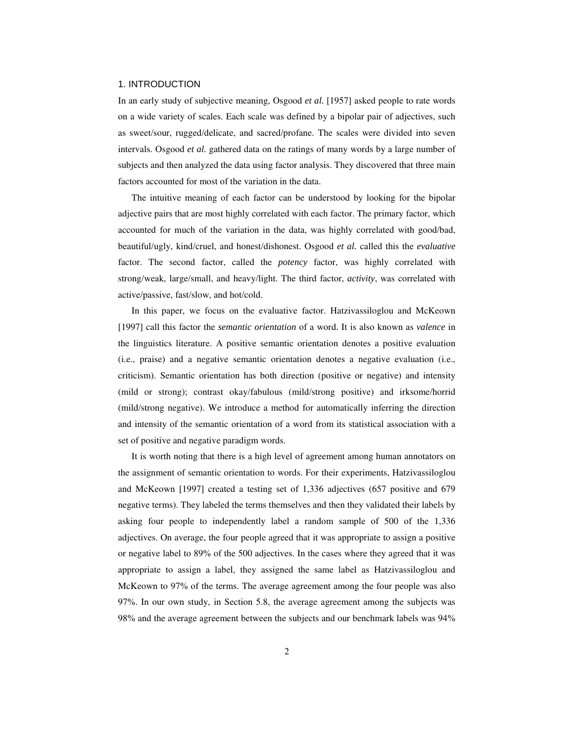#### 1. INTRODUCTION

In an early study of subjective meaning, Osgood *et al.* [1957] asked people to rate words on a wide variety of scales. Each scale was defined by a bipolar pair of adjectives, such as sweet/sour, rugged/delicate, and sacred/profane. The scales were divided into seven intervals. Osgood *et al.* gathered data on the ratings of many words by a large number of subjects and then analyzed the data using factor analysis. They discovered that three main factors accounted for most of the variation in the data.

The intuitive meaning of each factor can be understood by looking for the bipolar adjective pairs that are most highly correlated with each factor. The primary factor, which accounted for much of the variation in the data, was highly correlated with good/bad, beautiful/ugly, kind/cruel, and honest/dishonest. Osgood *et al.* called this the *evaluative* factor. The second factor, called the *potency* factor, was highly correlated with strong/weak, large/small, and heavy/light. The third factor, *activity*, was correlated with active/passive, fast/slow, and hot/cold.

In this paper, we focus on the evaluative factor. Hatzivassiloglou and McKeown [1997] call this factor the *semantic orientation* of a word. It is also known as *valence* in the linguistics literature. A positive semantic orientation denotes a positive evaluation (i.e., praise) and a negative semantic orientation denotes a negative evaluation (i.e., criticism). Semantic orientation has both direction (positive or negative) and intensity (mild or strong); contrast okay/fabulous (mild/strong positive) and irksome/horrid (mild/strong negative). We introduce a method for automatically inferring the direction and intensity of the semantic orientation of a word from its statistical association with a set of positive and negative paradigm words.

It is worth noting that there is a high level of agreement among human annotators on the assignment of semantic orientation to words. For their experiments, Hatzivassiloglou and McKeown [1997] created a testing set of 1,336 adjectives (657 positive and 679 negative terms). They labeled the terms themselves and then they validated their labels by asking four people to independently label a random sample of 500 of the 1,336 adjectives. On average, the four people agreed that it was appropriate to assign a positive or negative label to 89% of the 500 adjectives. In the cases where they agreed that it was appropriate to assign a label, they assigned the same label as Hatzivassiloglou and McKeown to 97% of the terms. The average agreement among the four people was also 97%. In our own study, in Section 5.8, the average agreement among the subjects was 98% and the average agreement between the subjects and our benchmark labels was 94%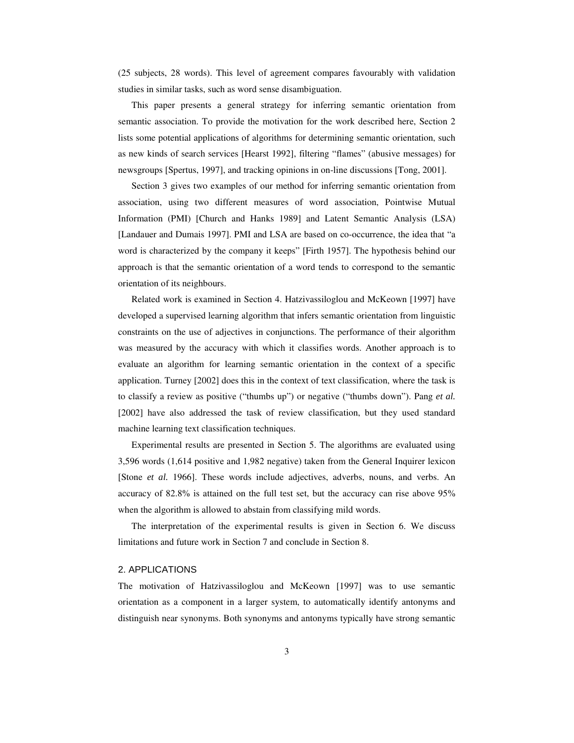(25 subjects, 28 words). This level of agreement compares favourably with validation studies in similar tasks, such as word sense disambiguation.

This paper presents a general strategy for inferring semantic orientation from semantic association. To provide the motivation for the work described here, Section 2 lists some potential applications of algorithms for determining semantic orientation, such as new kinds of search services [Hearst 1992], filtering "flames" (abusive messages) for newsgroups [Spertus, 1997], and tracking opinions in on-line discussions [Tong, 2001].

Section 3 gives two examples of our method for inferring semantic orientation from association, using two different measures of word association, Pointwise Mutual Information (PMI) [Church and Hanks 1989] and Latent Semantic Analysis (LSA) [Landauer and Dumais 1997]. PMI and LSA are based on co-occurrence, the idea that "a word is characterized by the company it keeps" [Firth 1957]. The hypothesis behind our approach is that the semantic orientation of a word tends to correspond to the semantic orientation of its neighbours.

Related work is examined in Section 4. Hatzivassiloglou and McKeown [1997] have developed a supervised learning algorithm that infers semantic orientation from linguistic constraints on the use of adjectives in conjunctions. The performance of their algorithm was measured by the accuracy with which it classifies words. Another approach is to evaluate an algorithm for learning semantic orientation in the context of a specific application. Turney [2002] does this in the context of text classification, where the task is to classify a review as positive ("thumbs up") or negative ("thumbs down"). Pang *et al.* [2002] have also addressed the task of review classification, but they used standard machine learning text classification techniques.

Experimental results are presented in Section 5. The algorithms are evaluated using 3,596 words (1,614 positive and 1,982 negative) taken from the General Inquirer lexicon [Stone *et al.* 1966]. These words include adjectives, adverbs, nouns, and verbs. An accuracy of 82.8% is attained on the full test set, but the accuracy can rise above 95% when the algorithm is allowed to abstain from classifying mild words.

The interpretation of the experimental results is given in Section 6. We discuss limitations and future work in Section 7 and conclude in Section 8.

#### 2. APPLICATIONS

The motivation of Hatzivassiloglou and McKeown [1997] was to use semantic orientation as a component in a larger system, to automatically identify antonyms and distinguish near synonyms. Both synonyms and antonyms typically have strong semantic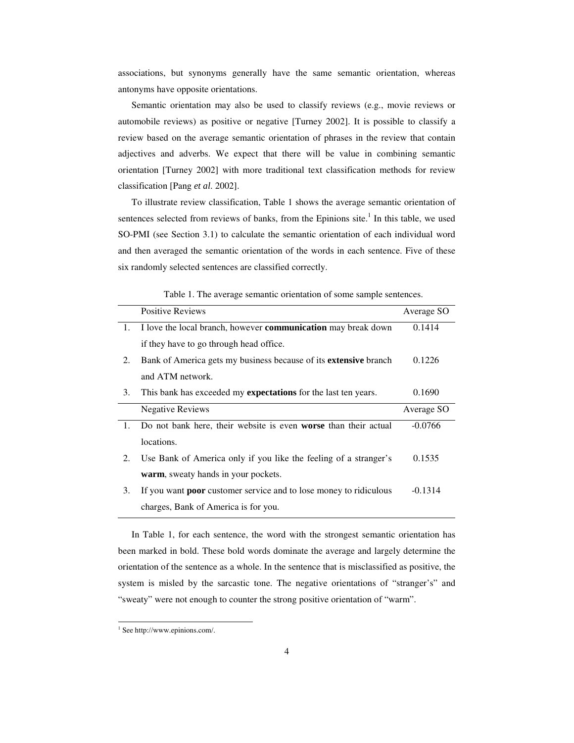associations, but synonyms generally have the same semantic orientation, whereas antonyms have opposite orientations.

Semantic orientation may also be used to classify reviews (e.g., movie reviews or automobile reviews) as positive or negative [Turney 2002]. It is possible to classify a review based on the average semantic orientation of phrases in the review that contain adjectives and adverbs. We expect that there will be value in combining semantic orientation [Turney 2002] with more traditional text classification methods for review classification [Pang *et al*. 2002].

To illustrate review classification, Table 1 shows the average semantic orientation of sentences selected from reviews of banks, from the Epinions site.<sup>1</sup> In this table, we used SO-PMI (see Section 3.1) to calculate the semantic orientation of each individual word and then averaged the semantic orientation of the words in each sentence. Five of these six randomly selected sentences are classified correctly.

|    | <b>Positive Reviews</b>                                                  | Average SO |
|----|--------------------------------------------------------------------------|------------|
| 1. | I love the local branch, however communication may break down            | 0.1414     |
|    | if they have to go through head office.                                  |            |
| 2. | Bank of America gets my business because of its <b>extensive</b> branch  | 0.1226     |
|    | and ATM network.                                                         |            |
| 3. | This bank has exceeded my <b>expectations</b> for the last ten years.    | 0.1690     |
|    | <b>Negative Reviews</b>                                                  | Average SO |
| 1. | Do not bank here, their website is even <b>worse</b> than their actual   | $-0.0766$  |
|    | locations.                                                               |            |
| 2. | Use Bank of America only if you like the feeling of a stranger's         | 0.1535     |
|    | warm, sweaty hands in your pockets.                                      |            |
| 3. | If you want <b>poor</b> customer service and to lose money to ridiculous | $-0.1314$  |
|    | charges, Bank of America is for you.                                     |            |

Table 1. The average semantic orientation of some sample sentences.

In Table 1, for each sentence, the word with the strongest semantic orientation has been marked in bold. These bold words dominate the average and largely determine the orientation of the sentence as a whole. In the sentence that is misclassified as positive, the system is misled by the sarcastic tone. The negative orientations of "stranger's" and "sweaty" were not enough to counter the strong positive orientation of "warm".

 $\overline{a}$ 

<sup>&</sup>lt;sup>1</sup> See http://www.epinions.com/.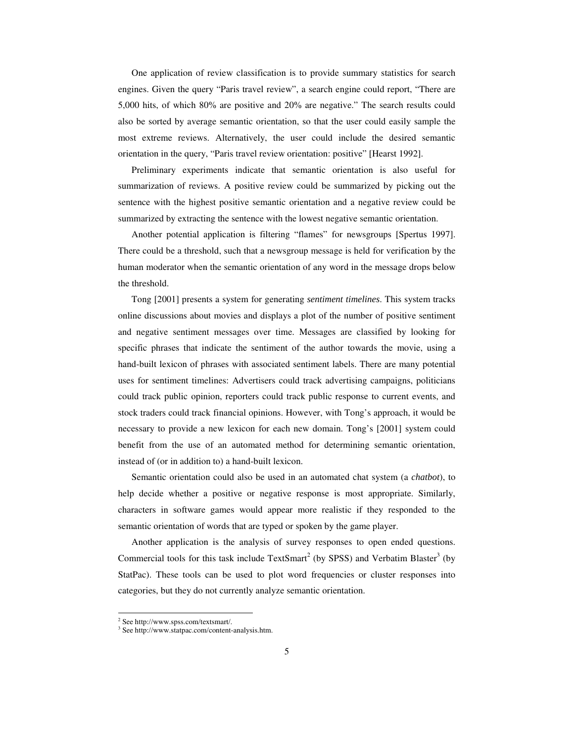One application of review classification is to provide summary statistics for search engines. Given the query "Paris travel review", a search engine could report, "There are 5,000 hits, of which 80% are positive and 20% are negative." The search results could also be sorted by average semantic orientation, so that the user could easily sample the most extreme reviews. Alternatively, the user could include the desired semantic orientation in the query, "Paris travel review orientation: positive" [Hearst 1992].

Preliminary experiments indicate that semantic orientation is also useful for summarization of reviews. A positive review could be summarized by picking out the sentence with the highest positive semantic orientation and a negative review could be summarized by extracting the sentence with the lowest negative semantic orientation.

Another potential application is filtering "flames" for newsgroups [Spertus 1997]. There could be a threshold, such that a newsgroup message is held for verification by the human moderator when the semantic orientation of any word in the message drops below the threshold.

Tong [2001] presents a system for generating *sentiment timelines*. This system tracks online discussions about movies and displays a plot of the number of positive sentiment and negative sentiment messages over time. Messages are classified by looking for specific phrases that indicate the sentiment of the author towards the movie, using a hand-built lexicon of phrases with associated sentiment labels. There are many potential uses for sentiment timelines: Advertisers could track advertising campaigns, politicians could track public opinion, reporters could track public response to current events, and stock traders could track financial opinions. However, with Tong's approach, it would be necessary to provide a new lexicon for each new domain. Tong's [2001] system could benefit from the use of an automated method for determining semantic orientation, instead of (or in addition to) a hand-built lexicon.

Semantic orientation could also be used in an automated chat system (a *chatbot*), to help decide whether a positive or negative response is most appropriate. Similarly, characters in software games would appear more realistic if they responded to the semantic orientation of words that are typed or spoken by the game player.

Another application is the analysis of survey responses to open ended questions. Commercial tools for this task include TextSmart<sup>2</sup> (by SPSS) and Verbatim Blaster<sup>3</sup> (by StatPac). These tools can be used to plot word frequencies or cluster responses into categories, but they do not currently analyze semantic orientation.

 $\overline{a}$ 

<sup>2</sup> See http://www.spss.com/textsmart/.

<sup>3</sup> See http://www.statpac.com/content-analysis.htm.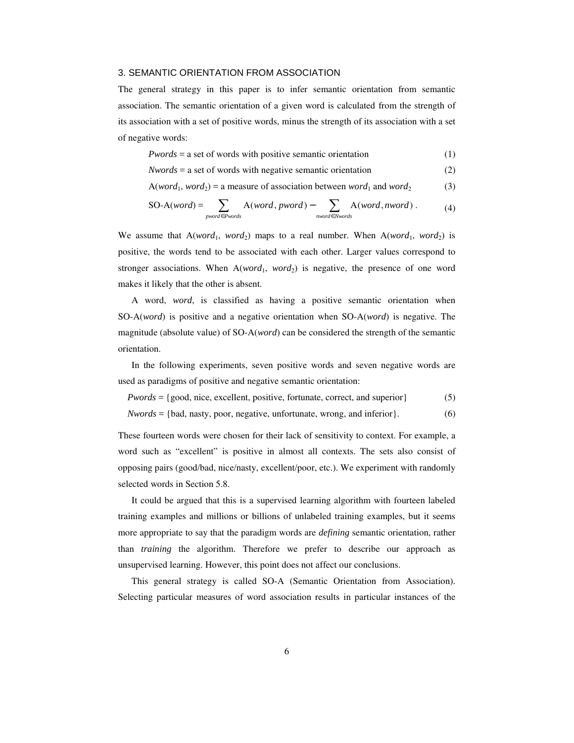# 3. SEMANTIC ORIENTATION FROM ASSOCIATION

The general strategy in this paper is to infer semantic orientation from semantic association. The semantic orientation of a given word is calculated from the strength of its association with a set of positive words, minus the strength of its association with a set of negative words:

$$
Pwords = a set of words with positive semantic orientation \t(1)
$$

(2) *Nwords* = a set of words with negative semantic orientation

$$
A(word1, word2) = a measure of association between word1 and word2 (3)
$$

$$
SO-A(word) = \sum_{pyword \in Pwords} A(word, pword) - \sum_{nword \in Nwords} A(word, nword).
$$
 (4)

We assume that  $A(word_1, word_2)$  maps to a real number. When  $A(word_1, word_2)$  is positive, the words tend to be associated with each other. Larger values correspond to stronger associations. When  $A(word_1, word_2)$  is negative, the presence of one word makes it likely that the other is absent.

A word, *word*, is classified as having a positive semantic orientation when SO-A(*word*) is positive and a negative orientation when SO-A(*word*) is negative. The magnitude (absolute value) of SO-A(*word*) can be considered the strength of the semantic orientation.

In the following experiments, seven positive words and seven negative words are used as paradigms of positive and negative semantic orientation:

(5) *Pwords* = {good, nice, excellent, positive, fortunate, correct, and superior}

(6) *Nwords* = {bad, nasty, poor, negative, unfortunate, wrong, and inferior}.

These fourteen words were chosen for their lack of sensitivity to context. For example, a word such as "excellent" is positive in almost all contexts. The sets also consist of opposing pairs (good/bad, nice/nasty, excellent/poor, etc.). We experiment with randomly selected words in Section 5.8.

It could be argued that this is a supervised learning algorithm with fourteen labeled training examples and millions or billions of unlabeled training examples, but it seems more appropriate to say that the paradigm words are *defining* semantic orientation, rather than *training* the algorithm. Therefore we prefer to describe our approach as unsupervised learning. However, this point does not affect our conclusions.

This general strategy is called SO-A (Semantic Orientation from Association). Selecting particular measures of word association results in particular instances of the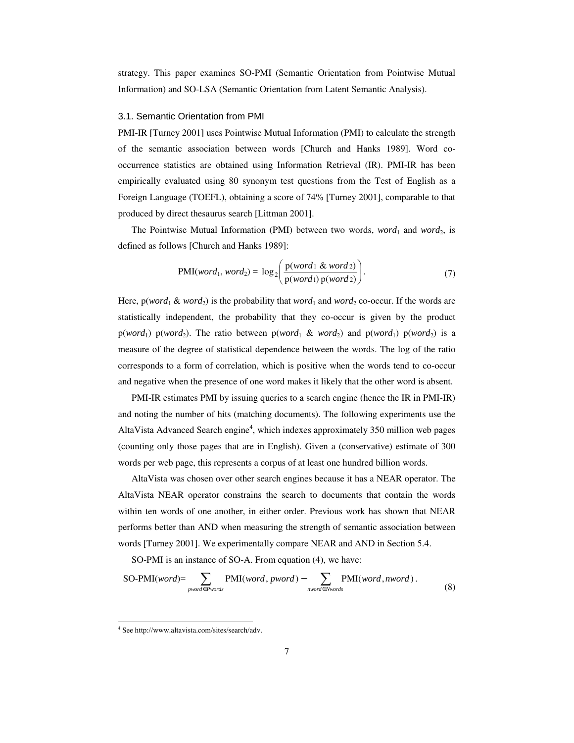strategy. This paper examines SO-PMI (Semantic Orientation from Pointwise Mutual Information) and SO-LSA (Semantic Orientation from Latent Semantic Analysis).

#### 3.1. Semantic Orientation from PMI

PMI-IR [Turney 2001] uses Pointwise Mutual Information (PMI) to calculate the strength of the semantic association between words [Church and Hanks 1989]. Word cooccurrence statistics are obtained using Information Retrieval (IR). PMI-IR has been empirically evaluated using 80 synonym test questions from the Test of English as a Foreign Language (TOEFL), obtaining a score of 74% [Turney 2001], comparable to that produced by direct thesaurus search [Littman 2001].

The Pointwise Mutual Information (PMI) between two words, *word*<sub>1</sub> and *word*<sub>2</sub>, is defined as follows [Church and Hanks 1989]:

$$
PMI(word_1, word_2) = log_2\left(\frac{p(word_1 \& word_2)}{p(word_1) p(word_2)}\right).
$$
\n(7)

Here,  $p(word_1 \& word_2)$  is the probability that *word*<sub>1</sub> and *word*<sub>2</sub> co-occur. If the words are statistically independent, the probability that they co-occur is given by the product p(*word*<sub>1</sub>) p(*word*<sub>2</sub>). The ratio between p(*word*<sub>1</sub> & *word*<sub>2</sub>) and p(*word*<sub>1</sub>) p(*word*<sub>2</sub>) is a measure of the degree of statistical dependence between the words. The log of the ratio corresponds to a form of correlation, which is positive when the words tend to co-occur and negative when the presence of one word makes it likely that the other word is absent.

PMI-IR estimates PMI by issuing queries to a search engine (hence the IR in PMI-IR) and noting the number of hits (matching documents). The following experiments use the AltaVista Advanced Search engine<sup>4</sup>, which indexes approximately 350 million web pages (counting only those pages that are in English). Given a (conservative) estimate of 300 words per web page, this represents a corpus of at least one hundred billion words.

AltaVista was chosen over other search engines because it has a NEAR operator. The AltaVista NEAR operator constrains the search to documents that contain the words within ten words of one another, in either order. Previous work has shown that NEAR performs better than AND when measuring the strength of semantic association between words [Turney 2001]. We experimentally compare NEAR and AND in Section 5.4.

SO-PMI is an instance of SO-A. From equation (4), we have:

$$
SO-PMI(word) = \sum_{pyword \in Pwords} PMI(word, pword) - \sum_{nyword \in Nwords} PMI(word, nword).
$$
\n(8)

 $\overline{a}$ 

<sup>4</sup> See http://www.altavista.com/sites/search/adv.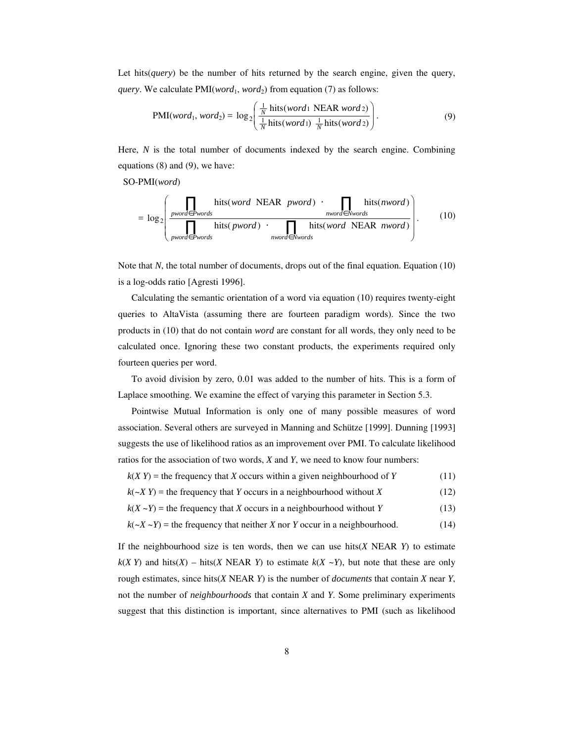Let hits(*query*) be the number of hits returned by the search engine, given the query, *query*. We calculate  $PMI(word_1, word_2)$  from equation (7) as follows:

$$
PMI(word_1, word_2) = log_2\left(\frac{\frac{1}{N} \text{ hits}(word_1 \text{ NEAR word2})}{\frac{1}{N} \text{ hits}(word_1) \frac{1}{N} \text{ hits}(word_2)}\right).
$$
\n(9)

Here, *N* is the total number of documents indexed by the search engine. Combining equations (8) and (9), we have:

SO-PMI(*word*)

$$
= \log_2 \left( \frac{\prod_{\text{pword} \in \text{Pwords}} \text{hits}(\text{word} \text{ NEAR } \text{pword}) \cdot \prod_{\text{nvord} \in \text{Nwords}} \text{hits}(\text{nword})}{\prod_{\text{pword} \in \text{Pwords}} \text{hits}(\text{pword}) \cdot \prod_{\text{nvord} \in \text{Nwords}} \text{hits}(\text{word} \text{ NEAR } \text{nword})} \right). \tag{10}
$$

Note that *N*, the total number of documents, drops out of the final equation. Equation (10) is a log-odds ratio [Agresti 1996].

Calculating the semantic orientation of a word via equation (10) requires twenty-eight queries to AltaVista (assuming there are fourteen paradigm words). Since the two products in (10) that do not contain *word* are constant for all words, they only need to be calculated once. Ignoring these two constant products, the experiments required only fourteen queries per word.

To avoid division by zero, 0.01 was added to the number of hits. This is a form of Laplace smoothing. We examine the effect of varying this parameter in Section 5.3.

Pointwise Mutual Information is only one of many possible measures of word association. Several others are surveyed in Manning and Schütze [1999]. Dunning [1993] suggests the use of likelihood ratios as an improvement over PMI. To calculate likelihood ratios for the association of two words, *X* and *Y*, we need to know four numbers:

- (11)  $k(X, Y)$  = the frequency that *X* occurs within a given neighbourhood of *Y*
- (12)  $k(\sim X, Y)$  = the frequency that *Y* occurs in a neighbourhood without *X*
- (13)  $k(X - Y)$  = the frequency that *X* occurs in a neighbourhood without *Y*
- (14)  $k(-X - Y)$  = the frequency that neither *X* nor *Y* occur in a neighbourhood.

If the neighbourhood size is ten words, then we can use hits(*X* NEAR *Y*) to estimate  $k(X, Y)$  and hits(*X*) – hits(*X*) NEAR *Y*) to estimate  $k(X \sim Y)$ , but note that these are only rough estimates, since hits(*X* NEAR *Y*) is the number of *documents* that contain *X* near *Y*, not the number of *neighbourhoods* that contain *X* and *Y*. Some preliminary experiments suggest that this distinction is important, since alternatives to PMI (such as likelihood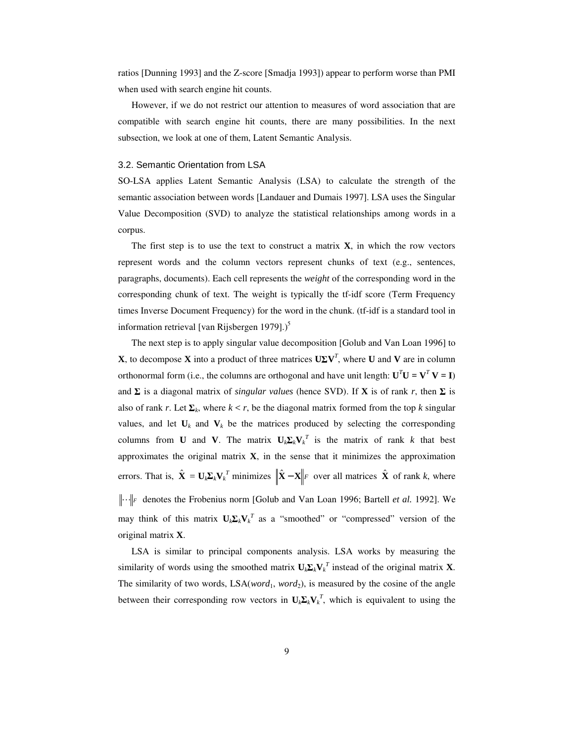ratios [Dunning 1993] and the Z-score [Smadja 1993]) appear to perform worse than PMI when used with search engine hit counts.

However, if we do not restrict our attention to measures of word association that are compatible with search engine hit counts, there are many possibilities. In the next subsection, we look at one of them, Latent Semantic Analysis.

#### 3.2. Semantic Orientation from LSA

SO-LSA applies Latent Semantic Analysis (LSA) to calculate the strength of the semantic association between words [Landauer and Dumais 1997]. LSA uses the Singular Value Decomposition (SVD) to analyze the statistical relationships among words in a corpus.

The first step is to use the text to construct a matrix  $X$ , in which the row vectors represent words and the column vectors represent chunks of text (e.g., sentences, paragraphs, documents). Each cell represents the *weight* of the corresponding word in the corresponding chunk of text. The weight is typically the tf-idf score (Term Frequency times Inverse Document Frequency) for the word in the chunk. (tf-idf is a standard tool in information retrieval [van Rijsbergen 1979].)<sup>5</sup>

The next step is to apply singular value decomposition [Golub and Van Loan 1996] to **X**, to decompose **X** into a product of three matrices  $U\Sigma V^T$ , where **U** and **V** are in column orthonormal form (i.e., the columns are orthogonal and have unit length:  $U^T U = V^T V = I$ ) and  $\Sigma$  is a diagonal matrix of *singular values* (hence SVD). If **X** is of rank *r*, then  $\Sigma$  is also of rank *r*. Let  $\Sigma_k$ , where  $k < r$ , be the diagonal matrix formed from the top *k* singular values, and let  $U_k$  and  $V_k$  be the matrices produced by selecting the corresponding columns from **U** and **V**. The matrix  $U_k \Sigma_k V_k^T$  is the matrix of rank *k* that best approximates the original matrix **X**, in the sense that it minimizes the approximation errors. That is,  $\hat{\mathbf{X}} = \mathbf{U}_k \mathbf{\Sigma}_k \mathbf{V}_k^T$  minimizes  $\|\hat{\mathbf{X}} - \mathbf{X}\|_F$  over all matrices  $\hat{\mathbf{X}}$  of rank *k*, where *F* denotes the Frobenius norm [Golub and Van Loan 1996; Bartell *et al.* 1992]. We may think of this matrix  $U_k \Sigma_k V_k^T$  as a "smoothed" or "compressed" version of the original matrix **X**.

LSA is similar to principal components analysis. LSA works by measuring the similarity of words using the smoothed matrix  $U_k \Sigma_k V_k^T$  instead of the original matrix **X**. The similarity of two words,  $LSA(word_1, word_2)$ , is measured by the cosine of the angle between their corresponding row vectors in  $U_k \Sigma_k V_k^T$ , which is equivalent to using the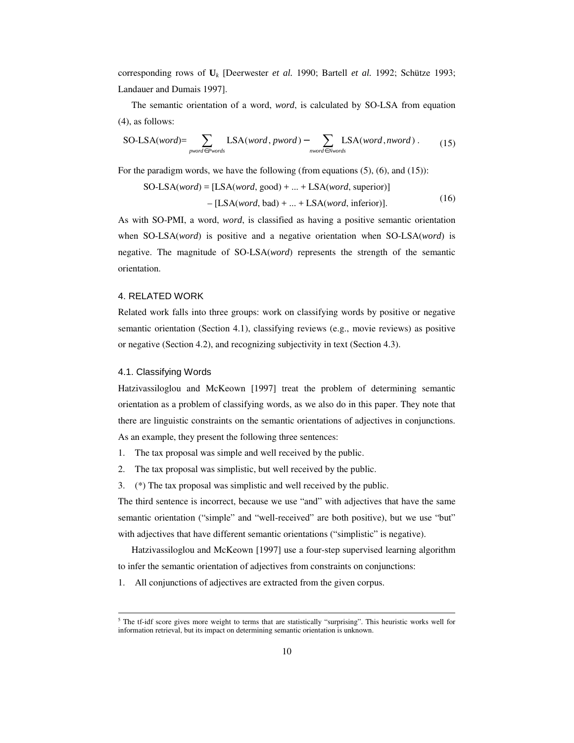corresponding rows of **U***<sup>k</sup>* [Deerwester *et al.* 1990; Bartell *et al.* 1992; Schütze 1993; Landauer and Dumais 1997].

The semantic orientation of a word, *word*, is calculated by SO-LSA from equation (4), as follows:

$$
SO\text{-LSA}(word) = \sum_{\text{pword} \in \text{Pwords}} \text{LSA}(word, pword) - \sum_{\text{nvord} \in \text{Nwords}} \text{LSA}(word, nword) . \tag{15}
$$

For the paradigm words, we have the following (from equations  $(5)$ ,  $(6)$ , and  $(15)$ ):

$$
SO-LSA(word) = [LSA(word, good) + ... + LSA(word, superior)]
$$

$$
- [LSA(word, bad) + ... + LSA(word, inferior)].
$$
(16)

As with SO-PMI, a word, *word*, is classified as having a positive semantic orientation when SO-LSA(*word*) is positive and a negative orientation when SO-LSA(*word*) is negative. The magnitude of SO-LSA(*word*) represents the strength of the semantic orientation.

# 4. RELATED WORK

Related work falls into three groups: work on classifying words by positive or negative semantic orientation (Section 4.1), classifying reviews (e.g., movie reviews) as positive or negative (Section 4.2), and recognizing subjectivity in text (Section 4.3).

# 4.1. Classifying Words

 $\overline{a}$ 

Hatzivassiloglou and McKeown [1997] treat the problem of determining semantic orientation as a problem of classifying words, as we also do in this paper. They note that there are linguistic constraints on the semantic orientations of adjectives in conjunctions. As an example, they present the following three sentences:

- 1. The tax proposal was simple and well received by the public.
- 2. The tax proposal was simplistic, but well received by the public.
- 3. (\*) The tax proposal was simplistic and well received by the public.

The third sentence is incorrect, because we use "and" with adjectives that have the same semantic orientation ("simple" and "well-received" are both positive), but we use "but" with adjectives that have different semantic orientations ("simplistic" is negative).

Hatzivassiloglou and McKeown [1997] use a four-step supervised learning algorithm to infer the semantic orientation of adjectives from constraints on conjunctions:

1. All conjunctions of adjectives are extracted from the given corpus.

<sup>&</sup>lt;sup>5</sup> The tf-idf score gives more weight to terms that are statistically "surprising". This heuristic works well for information retrieval, but its impact on determining semantic orientation is unknown.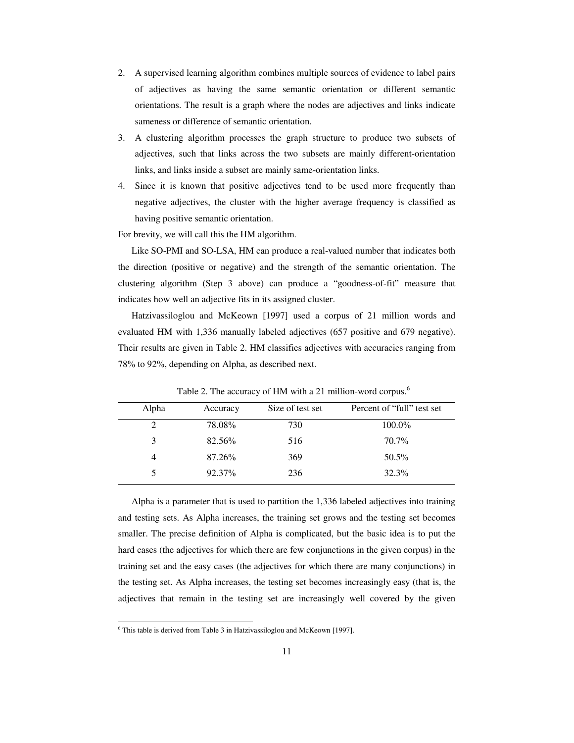- 2. A supervised learning algorithm combines multiple sources of evidence to label pairs of adjectives as having the same semantic orientation or different semantic orientations. The result is a graph where the nodes are adjectives and links indicate sameness or difference of semantic orientation.
- 3. A clustering algorithm processes the graph structure to produce two subsets of adjectives, such that links across the two subsets are mainly different-orientation links, and links inside a subset are mainly same-orientation links.
- 4. Since it is known that positive adjectives tend to be used more frequently than negative adjectives, the cluster with the higher average frequency is classified as having positive semantic orientation.

For brevity, we will call this the HM algorithm.

Like SO-PMI and SO-LSA, HM can produce a real-valued number that indicates both the direction (positive or negative) and the strength of the semantic orientation. The clustering algorithm (Step 3 above) can produce a "goodness-of-fit" measure that indicates how well an adjective fits in its assigned cluster.

Hatzivassiloglou and McKeown [1997] used a corpus of 21 million words and evaluated HM with 1,336 manually labeled adjectives (657 positive and 679 negative). Their results are given in Table 2. HM classifies adjectives with accuracies ranging from 78% to 92%, depending on Alpha, as described next.

| Alpha | Accuracy | Size of test set | Percent of "full" test set |
|-------|----------|------------------|----------------------------|
| 2     | 78.08%   | 730              | 100.0%                     |
| 3     | 82.56%   | 516              | 70.7%                      |
| 4     | 87.26%   | 369              | 50.5%                      |
|       | 92.37%   | 236              | 32.3%                      |

Table 2. The accuracy of HM with a 21 million-word corpus.<sup>6</sup>

Alpha is a parameter that is used to partition the 1,336 labeled adjectives into training and testing sets. As Alpha increases, the training set grows and the testing set becomes smaller. The precise definition of Alpha is complicated, but the basic idea is to put the hard cases (the adjectives for which there are few conjunctions in the given corpus) in the training set and the easy cases (the adjectives for which there are many conjunctions) in the testing set. As Alpha increases, the testing set becomes increasingly easy (that is, the adjectives that remain in the testing set are increasingly well covered by the given

 $\overline{a}$ 

<sup>&</sup>lt;sup>6</sup> This table is derived from Table 3 in Hatzivassiloglou and McKeown [1997].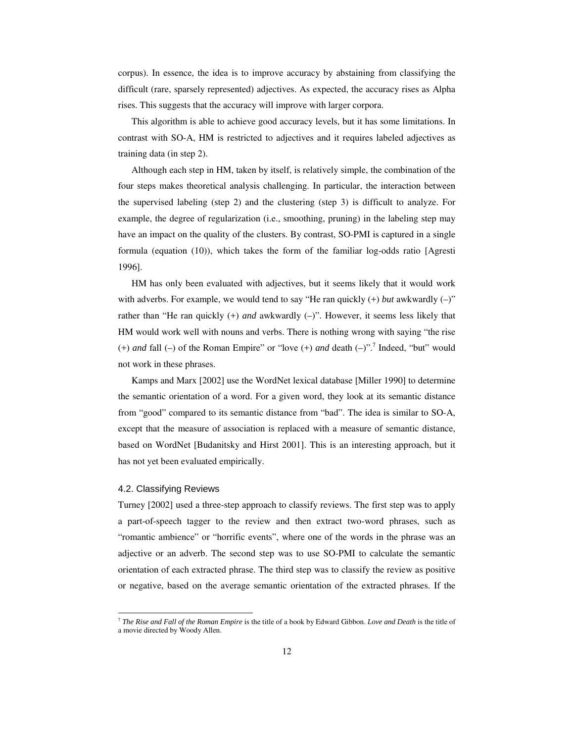corpus). In essence, the idea is to improve accuracy by abstaining from classifying the difficult (rare, sparsely represented) adjectives. As expected, the accuracy rises as Alpha rises. This suggests that the accuracy will improve with larger corpora.

This algorithm is able to achieve good accuracy levels, but it has some limitations. In contrast with SO-A, HM is restricted to adjectives and it requires labeled adjectives as training data (in step 2).

Although each step in HM, taken by itself, is relatively simple, the combination of the four steps makes theoretical analysis challenging. In particular, the interaction between the supervised labeling (step 2) and the clustering (step 3) is difficult to analyze. For example, the degree of regularization (i.e., smoothing, pruning) in the labeling step may have an impact on the quality of the clusters. By contrast, SO-PMI is captured in a single formula (equation (10)), which takes the form of the familiar log-odds ratio [Agresti 1996].

HM has only been evaluated with adjectives, but it seems likely that it would work with adverbs. For example, we would tend to say "He ran quickly  $(+)$  *but* awkwardly  $(-)$ " rather than "He ran quickly (+) *and* awkwardly (–)". However, it seems less likely that HM would work well with nouns and verbs. There is nothing wrong with saying "the rise  $(+)$  *and* fall  $(-)$  of the Roman Empire" or "love  $(+)$  *and* death  $(-)$ ".<sup>7</sup> Indeed, "but" would not work in these phrases.

Kamps and Marx [2002] use the WordNet lexical database [Miller 1990] to determine the semantic orientation of a word. For a given word, they look at its semantic distance from "good" compared to its semantic distance from "bad". The idea is similar to SO-A, except that the measure of association is replaced with a measure of semantic distance, based on WordNet [Budanitsky and Hirst 2001]. This is an interesting approach, but it has not yet been evaluated empirically.

### 4.2. Classifying Reviews

 $\overline{a}$ 

Turney [2002] used a three-step approach to classify reviews. The first step was to apply a part-of-speech tagger to the review and then extract two-word phrases, such as "romantic ambience" or "horrific events", where one of the words in the phrase was an adjective or an adverb. The second step was to use SO-PMI to calculate the semantic orientation of each extracted phrase. The third step was to classify the review as positive or negative, based on the average semantic orientation of the extracted phrases. If the

<sup>7</sup> *The Rise and Fall of the Roman Empire* is the title of a book by Edward Gibbon. *Love and Death* is the title of a movie directed by Woody Allen.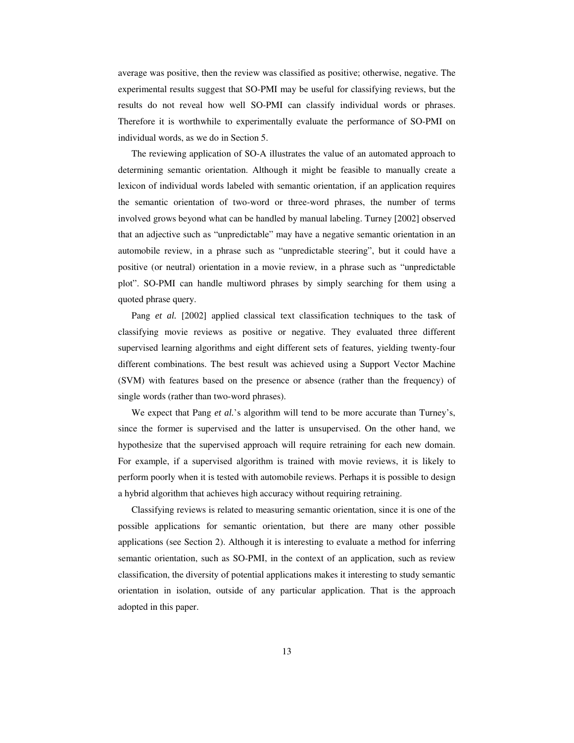average was positive, then the review was classified as positive; otherwise, negative. The experimental results suggest that SO-PMI may be useful for classifying reviews, but the results do not reveal how well SO-PMI can classify individual words or phrases. Therefore it is worthwhile to experimentally evaluate the performance of SO-PMI on individual words, as we do in Section 5.

The reviewing application of SO-A illustrates the value of an automated approach to determining semantic orientation. Although it might be feasible to manually create a lexicon of individual words labeled with semantic orientation, if an application requires the semantic orientation of two-word or three-word phrases, the number of terms involved grows beyond what can be handled by manual labeling. Turney [2002] observed that an adjective such as "unpredictable" may have a negative semantic orientation in an automobile review, in a phrase such as "unpredictable steering", but it could have a positive (or neutral) orientation in a movie review, in a phrase such as "unpredictable plot". SO-PMI can handle multiword phrases by simply searching for them using a quoted phrase query.

Pang *et al.* [2002] applied classical text classification techniques to the task of classifying movie reviews as positive or negative. They evaluated three different supervised learning algorithms and eight different sets of features, yielding twenty-four different combinations. The best result was achieved using a Support Vector Machine (SVM) with features based on the presence or absence (rather than the frequency) of single words (rather than two-word phrases).

We expect that Pang *et al.*'s algorithm will tend to be more accurate than Turney's, since the former is supervised and the latter is unsupervised. On the other hand, we hypothesize that the supervised approach will require retraining for each new domain. For example, if a supervised algorithm is trained with movie reviews, it is likely to perform poorly when it is tested with automobile reviews. Perhaps it is possible to design a hybrid algorithm that achieves high accuracy without requiring retraining.

Classifying reviews is related to measuring semantic orientation, since it is one of the possible applications for semantic orientation, but there are many other possible applications (see Section 2). Although it is interesting to evaluate a method for inferring semantic orientation, such as SO-PMI, in the context of an application, such as review classification, the diversity of potential applications makes it interesting to study semantic orientation in isolation, outside of any particular application. That is the approach adopted in this paper.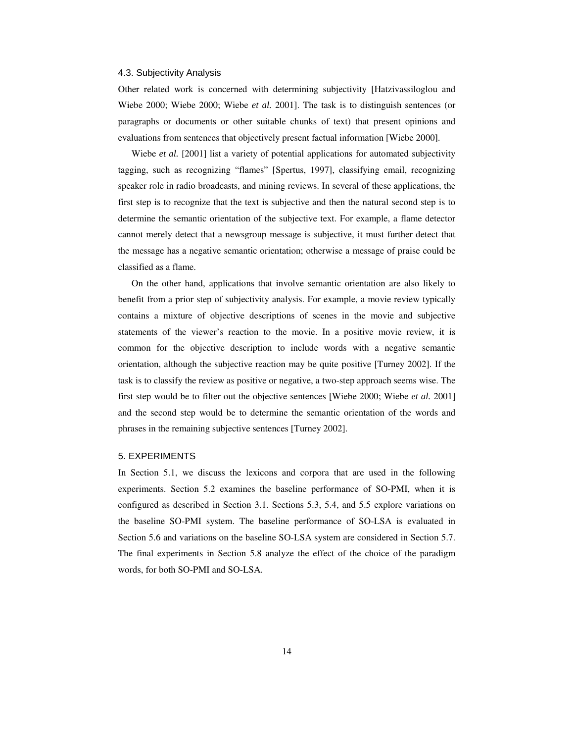### 4.3. Subjectivity Analysis

Other related work is concerned with determining subjectivity [Hatzivassiloglou and Wiebe 2000; Wiebe 2000; Wiebe *et al.* 2001]. The task is to distinguish sentences (or paragraphs or documents or other suitable chunks of text) that present opinions and evaluations from sentences that objectively present factual information [Wiebe 2000].

Wiebe *et al.* [2001] list a variety of potential applications for automated subjectivity tagging, such as recognizing "flames" [Spertus, 1997], classifying email, recognizing speaker role in radio broadcasts, and mining reviews. In several of these applications, the first step is to recognize that the text is subjective and then the natural second step is to determine the semantic orientation of the subjective text. For example, a flame detector cannot merely detect that a newsgroup message is subjective, it must further detect that the message has a negative semantic orientation; otherwise a message of praise could be classified as a flame.

On the other hand, applications that involve semantic orientation are also likely to benefit from a prior step of subjectivity analysis. For example, a movie review typically contains a mixture of objective descriptions of scenes in the movie and subjective statements of the viewer's reaction to the movie. In a positive movie review, it is common for the objective description to include words with a negative semantic orientation, although the subjective reaction may be quite positive [Turney 2002]. If the task is to classify the review as positive or negative, a two-step approach seems wise. The first step would be to filter out the objective sentences [Wiebe 2000; Wiebe *et al.* 2001] and the second step would be to determine the semantic orientation of the words and phrases in the remaining subjective sentences [Turney 2002].

#### 5. EXPERIMENTS

In Section 5.1, we discuss the lexicons and corpora that are used in the following experiments. Section 5.2 examines the baseline performance of SO-PMI, when it is configured as described in Section 3.1. Sections 5.3, 5.4, and 5.5 explore variations on the baseline SO-PMI system. The baseline performance of SO-LSA is evaluated in Section 5.6 and variations on the baseline SO-LSA system are considered in Section 5.7. The final experiments in Section 5.8 analyze the effect of the choice of the paradigm words, for both SO-PMI and SO-LSA.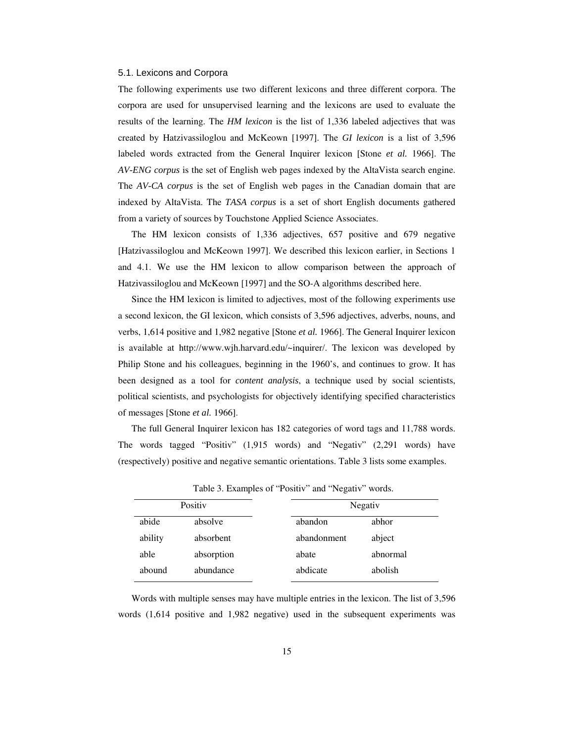## 5.1. Lexicons and Corpora

The following experiments use two different lexicons and three different corpora. The corpora are used for unsupervised learning and the lexicons are used to evaluate the results of the learning. The *HM lexicon* is the list of 1,336 labeled adjectives that was created by Hatzivassiloglou and McKeown [1997]. The *GI lexicon* is a list of 3,596 labeled words extracted from the General Inquirer lexicon [Stone *et al.* 1966]. The *AV-ENG corpus* is the set of English web pages indexed by the AltaVista search engine. The *AV-CA corpus* is the set of English web pages in the Canadian domain that are indexed by AltaVista. The *TASA corpus* is a set of short English documents gathered from a variety of sources by Touchstone Applied Science Associates.

The HM lexicon consists of 1,336 adjectives, 657 positive and 679 negative [Hatzivassiloglou and McKeown 1997]. We described this lexicon earlier, in Sections 1 and 4.1. We use the HM lexicon to allow comparison between the approach of Hatzivassiloglou and McKeown [1997] and the SO-A algorithms described here.

Since the HM lexicon is limited to adjectives, most of the following experiments use a second lexicon, the GI lexicon, which consists of 3,596 adjectives, adverbs, nouns, and verbs, 1,614 positive and 1,982 negative [Stone *et al.* 1966]. The General Inquirer lexicon is available at http://www.wjh.harvard.edu/~inquirer/. The lexicon was developed by Philip Stone and his colleagues, beginning in the 1960's, and continues to grow. It has been designed as a tool for *content analysis*, a technique used by social scientists, political scientists, and psychologists for objectively identifying specified characteristics of messages [Stone *et al.* 1966].

The full General Inquirer lexicon has 182 categories of word tags and 11,788 words. The words tagged "Positiv" (1,915 words) and "Negativ" (2,291 words) have (respectively) positive and negative semantic orientations. Table 3 lists some examples.

| Positiv |            |             | Negativ  |  |  |
|---------|------------|-------------|----------|--|--|
| abide   | absolve    | abandon     | abhor    |  |  |
| ability | absorbent  | abandonment | abject   |  |  |
| able    | absorption | abate       | abnormal |  |  |
| abound  | abundance  | abdicate    | abolish  |  |  |

Table 3. Examples of "Positiv" and "Negativ" words.

Words with multiple senses may have multiple entries in the lexicon. The list of 3,596 words (1,614 positive and 1,982 negative) used in the subsequent experiments was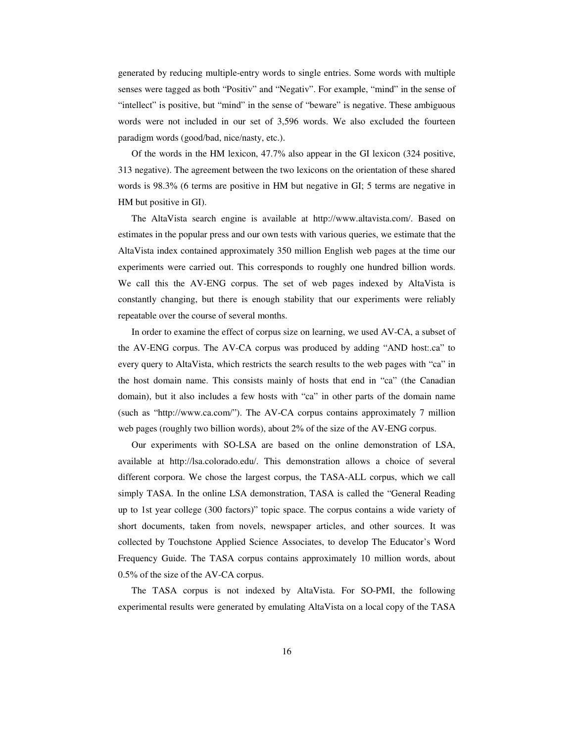generated by reducing multiple-entry words to single entries. Some words with multiple senses were tagged as both "Positiv" and "Negativ". For example, "mind" in the sense of "intellect" is positive, but "mind" in the sense of "beware" is negative. These ambiguous words were not included in our set of 3,596 words. We also excluded the fourteen paradigm words (good/bad, nice/nasty, etc.).

Of the words in the HM lexicon, 47.7% also appear in the GI lexicon (324 positive, 313 negative). The agreement between the two lexicons on the orientation of these shared words is 98.3% (6 terms are positive in HM but negative in GI; 5 terms are negative in HM but positive in GI).

The AltaVista search engine is available at http://www.altavista.com/. Based on estimates in the popular press and our own tests with various queries, we estimate that the AltaVista index contained approximately 350 million English web pages at the time our experiments were carried out. This corresponds to roughly one hundred billion words. We call this the AV-ENG corpus. The set of web pages indexed by AltaVista is constantly changing, but there is enough stability that our experiments were reliably repeatable over the course of several months.

In order to examine the effect of corpus size on learning, we used AV-CA, a subset of the AV-ENG corpus. The AV-CA corpus was produced by adding "AND host:.ca" to every query to AltaVista, which restricts the search results to the web pages with "ca" in the host domain name. This consists mainly of hosts that end in "ca" (the Canadian domain), but it also includes a few hosts with "ca" in other parts of the domain name (such as "http://www.ca.com/"). The AV-CA corpus contains approximately 7 million web pages (roughly two billion words), about 2% of the size of the AV-ENG corpus.

Our experiments with SO-LSA are based on the online demonstration of LSA, available at http://lsa.colorado.edu/. This demonstration allows a choice of several different corpora. We chose the largest corpus, the TASA-ALL corpus, which we call simply TASA. In the online LSA demonstration, TASA is called the "General Reading up to 1st year college (300 factors)" topic space. The corpus contains a wide variety of short documents, taken from novels, newspaper articles, and other sources. It was collected by Touchstone Applied Science Associates, to develop The Educator's Word Frequency Guide. The TASA corpus contains approximately 10 million words, about 0.5% of the size of the AV-CA corpus.

The TASA corpus is not indexed by AltaVista. For SO-PMI, the following experimental results were generated by emulating AltaVista on a local copy of the TASA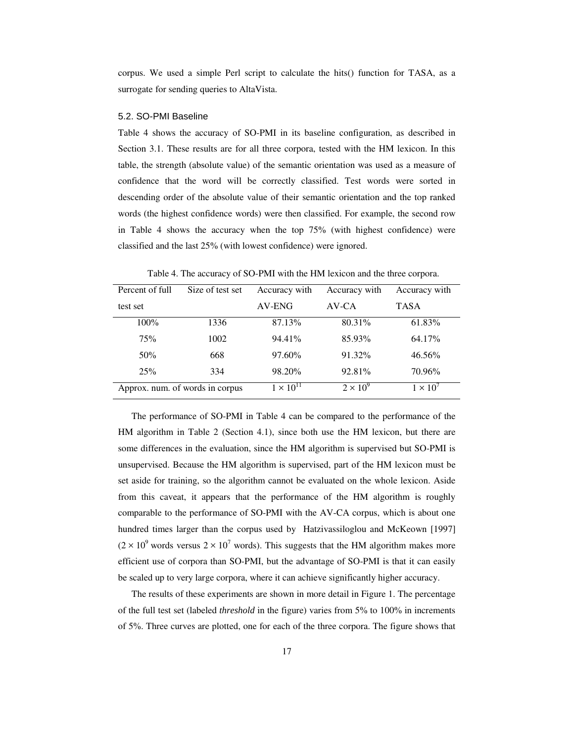corpus. We used a simple Perl script to calculate the hits() function for TASA, as a surrogate for sending queries to AltaVista.

#### 5.2. SO-PMI Baseline

Table 4 shows the accuracy of SO-PMI in its baseline configuration, as described in Section 3.1. These results are for all three corpora, tested with the HM lexicon. In this table, the strength (absolute value) of the semantic orientation was used as a measure of confidence that the word will be correctly classified. Test words were sorted in descending order of the absolute value of their semantic orientation and the top ranked words (the highest confidence words) were then classified. For example, the second row in Table 4 shows the accuracy when the top 75% (with highest confidence) were classified and the last 25% (with lowest confidence) were ignored.

| Percent of full                 | Size of test set | Accuracy with      | Accuracy with   | Accuracy with   |
|---------------------------------|------------------|--------------------|-----------------|-----------------|
| test set                        |                  | AV-ENG             | AV-CA           | <b>TASA</b>     |
| $100\%$                         | 1336             | 87.13%             | 80.31%          | 61.83%          |
| 75%                             | 1002             | 94.41%             | 85.93%          | 64.17%          |
| 50%                             | 668              | 97.60%             | 91.32%          | $46.56\%$       |
| 25%                             | 334              | 98.20%             | 92.81%          | 70.96%          |
| Approx. num. of words in corpus |                  | $1 \times 10^{11}$ | $2 \times 10^9$ | $1 \times 10^7$ |

Table 4. The accuracy of SO-PMI with the HM lexicon and the three corpora.

The performance of SO-PMI in Table 4 can be compared to the performance of the HM algorithm in Table 2 (Section 4.1), since both use the HM lexicon, but there are some differences in the evaluation, since the HM algorithm is supervised but SO-PMI is unsupervised. Because the HM algorithm is supervised, part of the HM lexicon must be set aside for training, so the algorithm cannot be evaluated on the whole lexicon. Aside from this caveat, it appears that the performance of the HM algorithm is roughly comparable to the performance of SO-PMI with the AV-CA corpus, which is about one hundred times larger than the corpus used by Hatzivassiloglou and McKeown [1997]  $(2 \times 10^9$  words versus  $2 \times 10^7$  words). This suggests that the HM algorithm makes more efficient use of corpora than SO-PMI, but the advantage of SO-PMI is that it can easily be scaled up to very large corpora, where it can achieve significantly higher accuracy.

The results of these experiments are shown in more detail in Figure 1. The percentage of the full test set (labeled *threshold* in the figure) varies from 5% to 100% in increments of 5%. Three curves are plotted, one for each of the three corpora. The figure shows that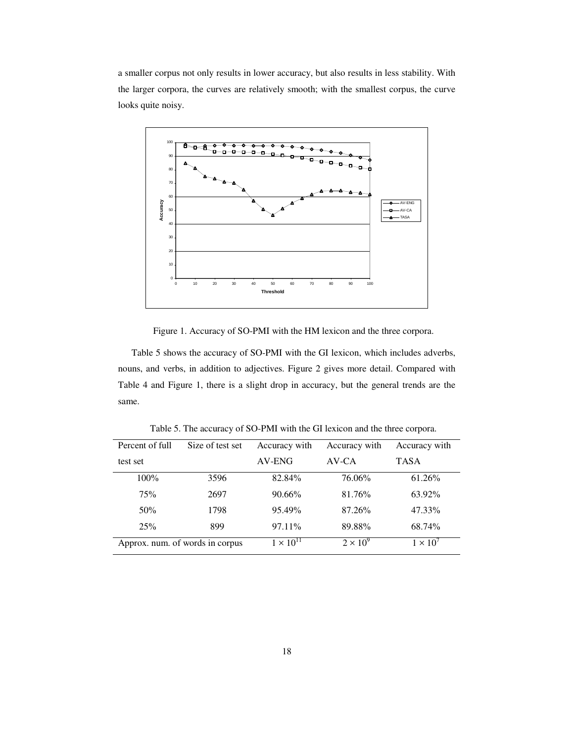a smaller corpus not only results in lower accuracy, but also results in less stability. With the larger corpora, the curves are relatively smooth; with the smallest corpus, the curve looks quite noisy.



Figure 1. Accuracy of SO-PMI with the HM lexicon and the three corpora.

Table 5 shows the accuracy of SO-PMI with the GI lexicon, which includes adverbs, nouns, and verbs, in addition to adjectives. Figure 2 gives more detail. Compared with Table 4 and Figure 1, there is a slight drop in accuracy, but the general trends are the same.

| Percent of full                 | Size of test set | Accuracy with      | Accuracy with   | Accuracy with  |
|---------------------------------|------------------|--------------------|-----------------|----------------|
| test set                        |                  | AV-ENG             | AV-CA           | <b>TASA</b>    |
| $100\%$                         | 3596             | 82.84%             | 76.06%          | $61.26\%$      |
| 75%                             | 2697             | $90.66\%$          | 81.76%          | 63.92%         |
| 50%                             | 1798             | 95.49%             | 87.26%          | 47.33%         |
| 25%                             | 899              | 97.11\%            | 89.88%          | 68.74%         |
| Approx. num. of words in corpus |                  | $1 \times 10^{11}$ | $2 \times 10^9$ | $1 \times 10'$ |

Table 5. The accuracy of SO-PMI with the GI lexicon and the three corpora.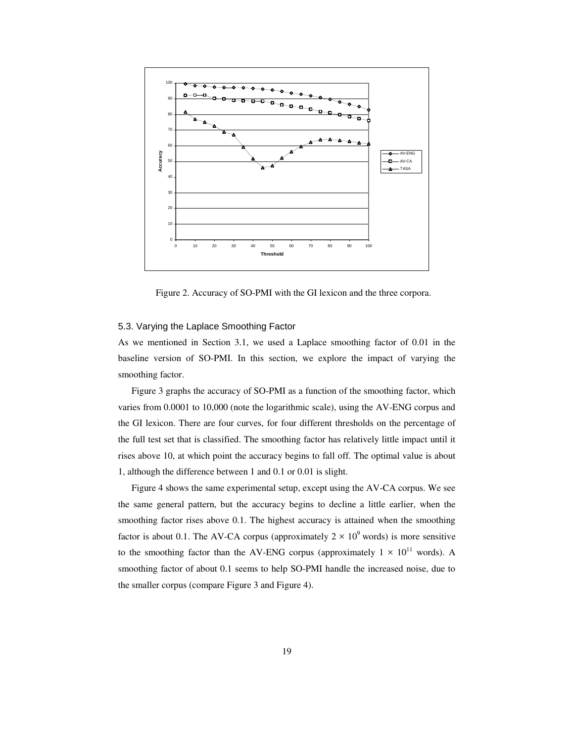

Figure 2. Accuracy of SO-PMI with the GI lexicon and the three corpora.

# 5.3. Varying the Laplace Smoothing Factor

As we mentioned in Section 3.1, we used a Laplace smoothing factor of 0.01 in the baseline version of SO-PMI. In this section, we explore the impact of varying the smoothing factor.

Figure 3 graphs the accuracy of SO-PMI as a function of the smoothing factor, which varies from 0.0001 to 10,000 (note the logarithmic scale), using the AV-ENG corpus and the GI lexicon. There are four curves, for four different thresholds on the percentage of the full test set that is classified. The smoothing factor has relatively little impact until it rises above 10, at which point the accuracy begins to fall off. The optimal value is about 1, although the difference between 1 and 0.1 or 0.01 is slight.

Figure 4 shows the same experimental setup, except using the AV-CA corpus. We see the same general pattern, but the accuracy begins to decline a little earlier, when the smoothing factor rises above 0.1. The highest accuracy is attained when the smoothing factor is about 0.1. The AV-CA corpus (approximately  $2 \times 10^9$  words) is more sensitive to the smoothing factor than the AV-ENG corpus (approximately  $1 \times 10^{11}$  words). A smoothing factor of about 0.1 seems to help SO-PMI handle the increased noise, due to the smaller corpus (compare Figure 3 and Figure 4).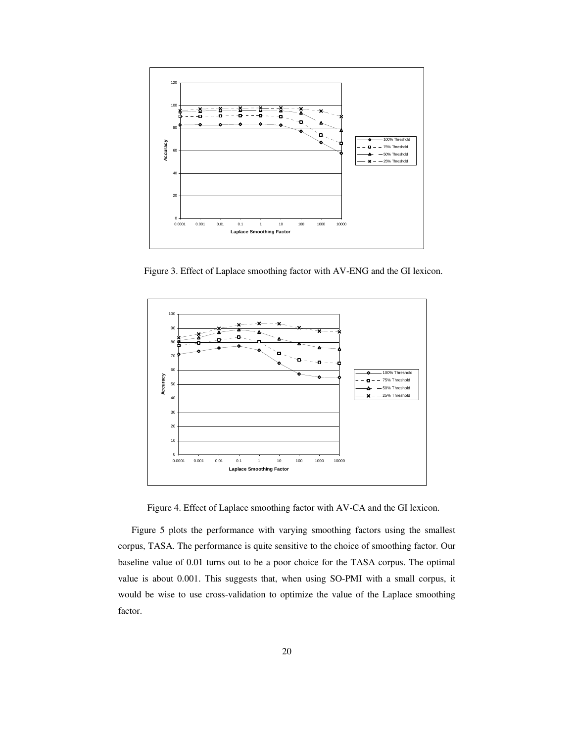

Figure 3. Effect of Laplace smoothing factor with AV-ENG and the GI lexicon.



Figure 4. Effect of Laplace smoothing factor with AV-CA and the GI lexicon.

Figure 5 plots the performance with varying smoothing factors using the smallest corpus, TASA. The performance is quite sensitive to the choice of smoothing factor. Our baseline value of 0.01 turns out to be a poor choice for the TASA corpus. The optimal value is about 0.001. This suggests that, when using SO-PMI with a small corpus, it would be wise to use cross-validation to optimize the value of the Laplace smoothing factor.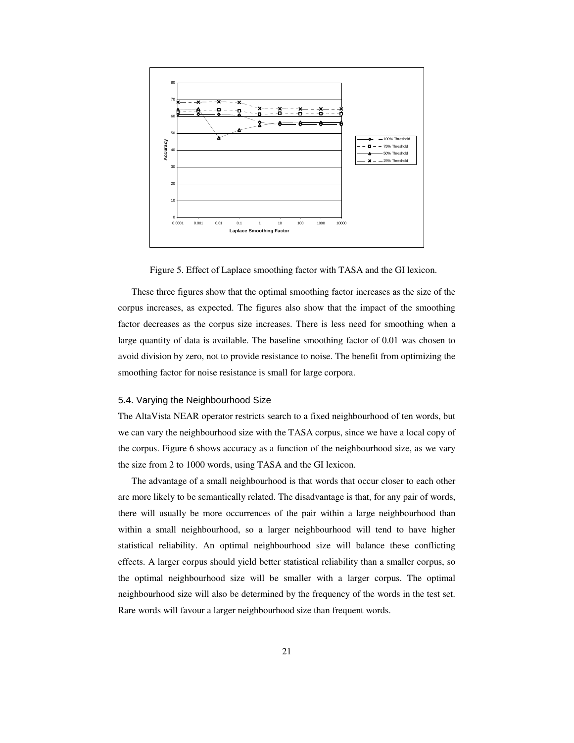

Figure 5. Effect of Laplace smoothing factor with TASA and the GI lexicon.

These three figures show that the optimal smoothing factor increases as the size of the corpus increases, as expected. The figures also show that the impact of the smoothing factor decreases as the corpus size increases. There is less need for smoothing when a large quantity of data is available. The baseline smoothing factor of 0.01 was chosen to avoid division by zero, not to provide resistance to noise. The benefit from optimizing the smoothing factor for noise resistance is small for large corpora.

#### 5.4. Varying the Neighbourhood Size

The AltaVista NEAR operator restricts search to a fixed neighbourhood of ten words, but we can vary the neighbourhood size with the TASA corpus, since we have a local copy of the corpus. Figure 6 shows accuracy as a function of the neighbourhood size, as we vary the size from 2 to 1000 words, using TASA and the GI lexicon.

The advantage of a small neighbourhood is that words that occur closer to each other are more likely to be semantically related. The disadvantage is that, for any pair of words, there will usually be more occurrences of the pair within a large neighbourhood than within a small neighbourhood, so a larger neighbourhood will tend to have higher statistical reliability. An optimal neighbourhood size will balance these conflicting effects. A larger corpus should yield better statistical reliability than a smaller corpus, so the optimal neighbourhood size will be smaller with a larger corpus. The optimal neighbourhood size will also be determined by the frequency of the words in the test set. Rare words will favour a larger neighbourhood size than frequent words.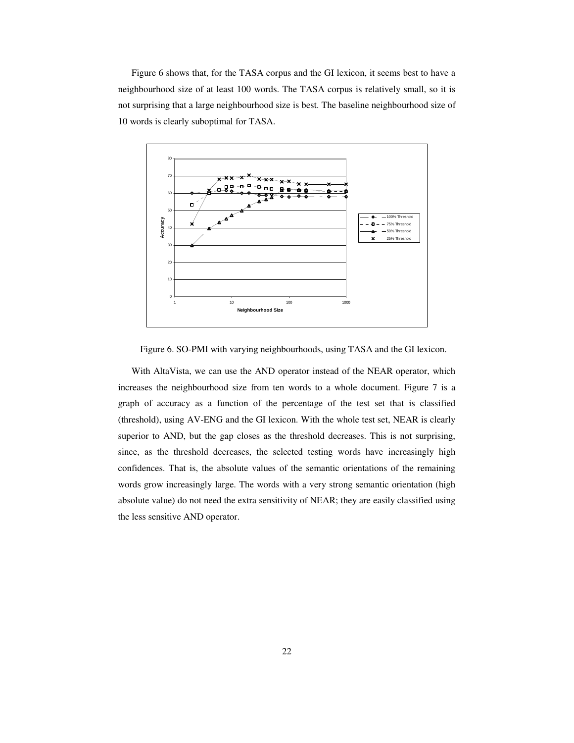Figure 6 shows that, for the TASA corpus and the GI lexicon, it seems best to have a neighbourhood size of at least 100 words. The TASA corpus is relatively small, so it is not surprising that a large neighbourhood size is best. The baseline neighbourhood size of 10 words is clearly suboptimal for TASA.



Figure 6. SO-PMI with varying neighbourhoods, using TASA and the GI lexicon.

With AltaVista, we can use the AND operator instead of the NEAR operator, which increases the neighbourhood size from ten words to a whole document. Figure 7 is a graph of accuracy as a function of the percentage of the test set that is classified (threshold), using AV-ENG and the GI lexicon. With the whole test set, NEAR is clearly superior to AND, but the gap closes as the threshold decreases. This is not surprising, since, as the threshold decreases, the selected testing words have increasingly high confidences. That is, the absolute values of the semantic orientations of the remaining words grow increasingly large. The words with a very strong semantic orientation (high absolute value) do not need the extra sensitivity of NEAR; they are easily classified using the less sensitive AND operator.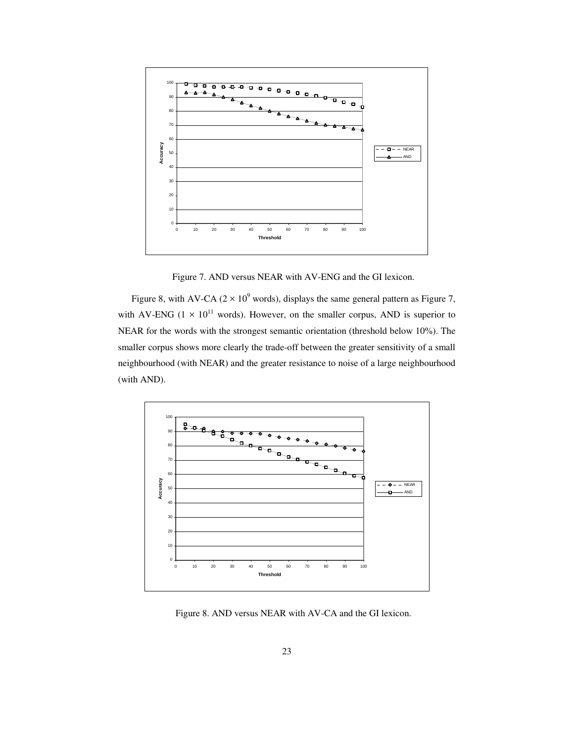

Figure 7. AND versus NEAR with AV-ENG and the GI lexicon.

Figure 8, with AV-CA ( $2 \times 10^9$  words), displays the same general pattern as Figure 7, with AV-ENG ( $1 \times 10^{11}$  words). However, on the smaller corpus, AND is superior to NEAR for the words with the strongest semantic orientation (threshold below 10%). The smaller corpus shows more clearly the trade-off between the greater sensitivity of a small neighbourhood (with NEAR) and the greater resistance to noise of a large neighbourhood (with AND).



Figure 8. AND versus NEAR with AV-CA and the GI lexicon.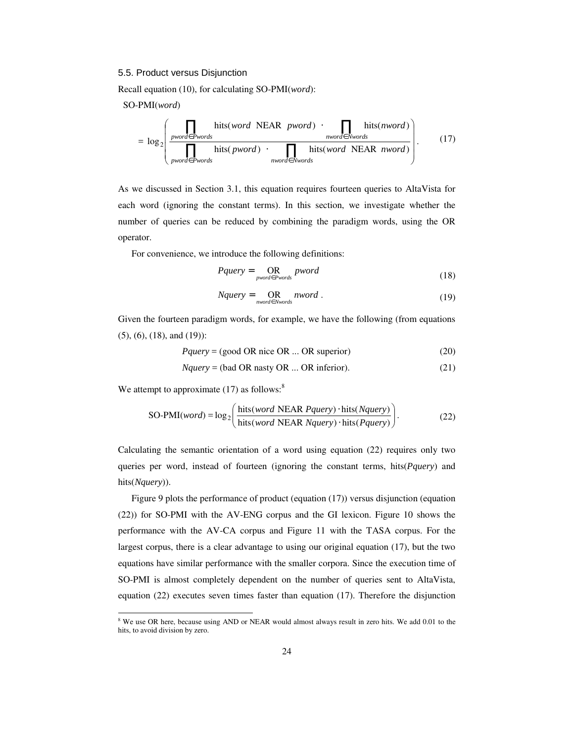# 5.5. Product versus Disjunction

Recall equation (10), for calculating SO-PMI(*word*):

SO-PMI(*word*)

$$
= \log_2 \left( \frac{\prod_{\text{pword} \in \text{Pwords}} \text{hits(word NEAR } \text{pword}) \cdot \prod_{\text{mword} \in \text{Nwords}} \text{hits(nword)}}{\prod_{\text{pword} \in \text{Pwords}} \text{hits(pword)} \cdot \prod_{\text{mword} \in \text{Nwords}} \text{hits(word NEAR } \text{nword})} \right). \tag{17}
$$

As we discussed in Section 3.1, this equation requires fourteen queries to AltaVista for each word (ignoring the constant terms). In this section, we investigate whether the number of queries can be reduced by combining the paradigm words, using the OR operator.

For convenience, we introduce the following definitions:

$$
Pquery = \underset{pword \in Pwords}{OR} pword \qquad (18)
$$

$$
Nquery = \underset{nvord \in Nwords}{\text{OR}} nword \tag{19}
$$

Given the fourteen paradigm words, for example, we have the following (from equations (5), (6), (18), and (19)):

$$
Pquery = (good OR nice OR ... OR superior)
$$
\n
$$
(20)
$$

$$
Nquery = (bad OR nasty OR ... OR inferior).
$$
\n(21)

We attempt to approximate  $(17)$  as follows:<sup>8</sup>

 $\overline{a}$ 

SO-PMI(*word*) = 
$$
\log_2 \left( \frac{\text{hits}(word \text{ NEAR }Pquery) \cdot \text{hits}(Nquery)}{\text{hits}(word \text{ NEAR }Nquery) \cdot \text{hits}(Pquery)} \right).
$$
 (22)

Calculating the semantic orientation of a word using equation (22) requires only two queries per word, instead of fourteen (ignoring the constant terms, hits(*Pquery*) and hits(*Nquery*)).

Figure 9 plots the performance of product (equation (17)) versus disjunction (equation (22)) for SO-PMI with the AV-ENG corpus and the GI lexicon. Figure 10 shows the performance with the AV-CA corpus and Figure 11 with the TASA corpus. For the largest corpus, there is a clear advantage to using our original equation (17), but the two equations have similar performance with the smaller corpora. Since the execution time of SO-PMI is almost completely dependent on the number of queries sent to AltaVista, equation (22) executes seven times faster than equation (17). Therefore the disjunction

<sup>&</sup>lt;sup>8</sup> We use OR here, because using AND or NEAR would almost always result in zero hits. We add 0.01 to the hits, to avoid division by zero.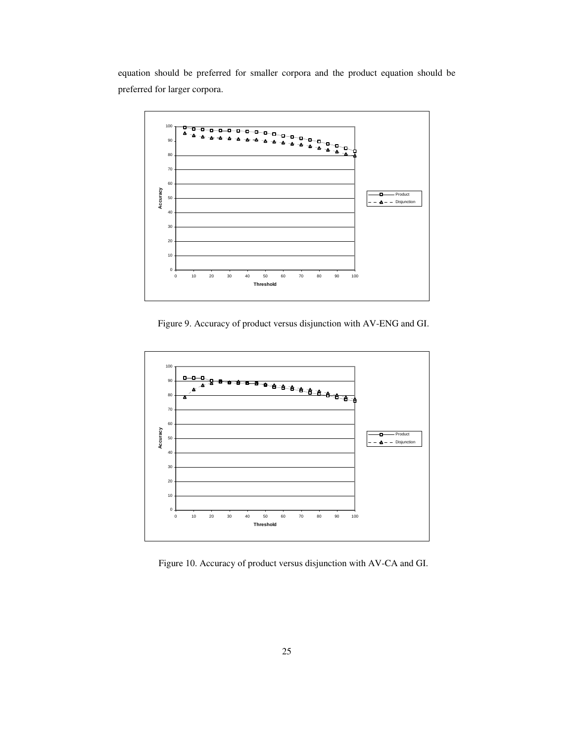equation should be preferred for smaller corpora and the product equation should be preferred for larger corpora.



Figure 9. Accuracy of product versus disjunction with AV-ENG and GI.



Figure 10. Accuracy of product versus disjunction with AV-CA and GI.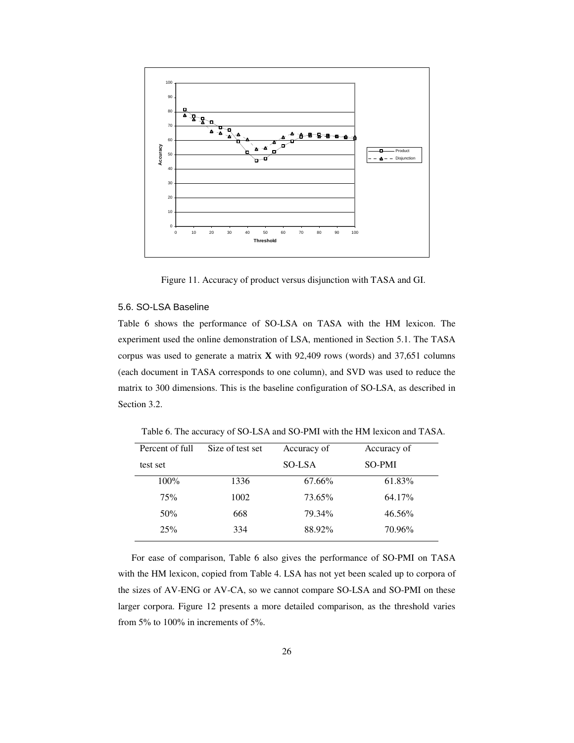

Figure 11. Accuracy of product versus disjunction with TASA and GI.

# 5.6. SO-LSA Baseline

Table 6 shows the performance of SO-LSA on TASA with the HM lexicon. The experiment used the online demonstration of LSA, mentioned in Section 5.1. The TASA corpus was used to generate a matrix **X** with 92,409 rows (words) and 37,651 columns (each document in TASA corresponds to one column), and SVD was used to reduce the matrix to 300 dimensions. This is the baseline configuration of SO-LSA, as described in Section 3.2.

Table 6. The accuracy of SO-LSA and SO-PMI with the HM lexicon and TASA.

| Percent of full | Size of test set | Accuracy of | Accuracy of |  |
|-----------------|------------------|-------------|-------------|--|
| test set        |                  | SO-LSA      | SO-PMI      |  |
| 100%            | 1336             | 67.66%      | 61.83%      |  |
| 75%             | 1002             | 73.65%      | 64.17%      |  |
| 50%             | 668              | 79.34%      | 46.56%      |  |
| 25%             | 334              | 88.92%      | 70.96%      |  |

For ease of comparison, Table 6 also gives the performance of SO-PMI on TASA with the HM lexicon, copied from Table 4. LSA has not yet been scaled up to corpora of the sizes of AV-ENG or AV-CA, so we cannot compare SO-LSA and SO-PMI on these larger corpora. Figure 12 presents a more detailed comparison, as the threshold varies from  $5\%$  to  $100\%$  in increments of  $5\%$ .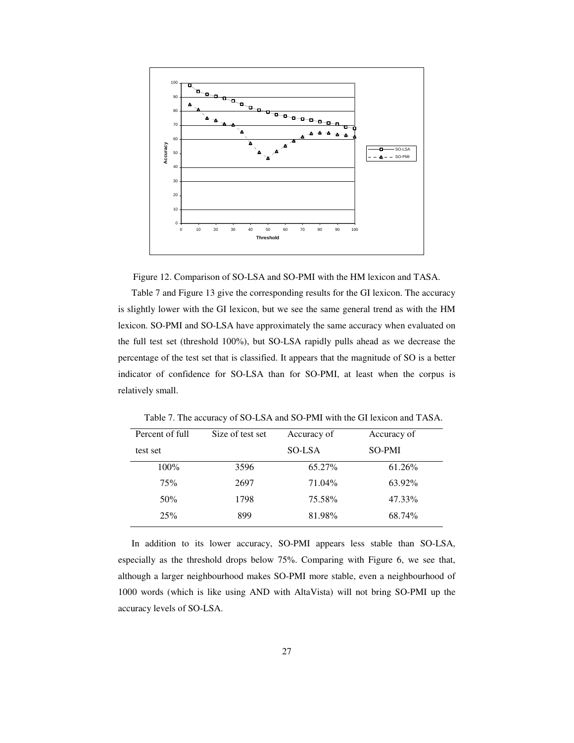



Table 7 and Figure 13 give the corresponding results for the GI lexicon. The accuracy is slightly lower with the GI lexicon, but we see the same general trend as with the HM lexicon. SO-PMI and SO-LSA have approximately the same accuracy when evaluated on the full test set (threshold 100%), but SO-LSA rapidly pulls ahead as we decrease the percentage of the test set that is classified. It appears that the magnitude of SO is a better indicator of confidence for SO-LSA than for SO-PMI, at least when the corpus is relatively small.

| Percent of full | Size of test set | Accuracy of | Accuracy of |
|-----------------|------------------|-------------|-------------|
| test set        |                  | SO-LSA      | SO-PMI      |
| $100\%$         | 3596             | 65.27%      | 61.26%      |
| 75%             | 2697             | 71.04%      | 63.92%      |
| 50%             | 1798             | 75.58%      | 47.33%      |
| 25%             | 899              | 81.98%      | 68.74%      |

Table 7. The accuracy of SO-LSA and SO-PMI with the GI lexicon and TASA.

In addition to its lower accuracy, SO-PMI appears less stable than SO-LSA, especially as the threshold drops below 75%. Comparing with Figure 6, we see that, although a larger neighbourhood makes SO-PMI more stable, even a neighbourhood of 1000 words (which is like using AND with AltaVista) will not bring SO-PMI up the accuracy levels of SO-LSA.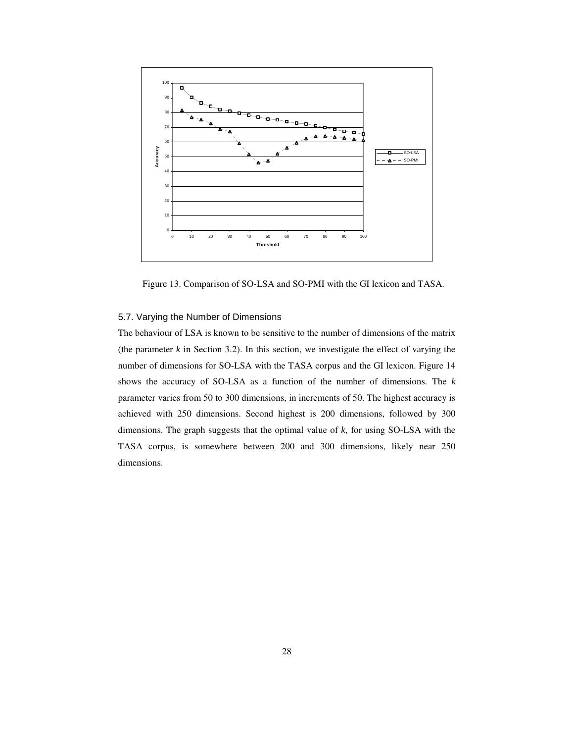

Figure 13. Comparison of SO-LSA and SO-PMI with the GI lexicon and TASA.

# 5.7. Varying the Number of Dimensions

The behaviour of LSA is known to be sensitive to the number of dimensions of the matrix (the parameter  $k$  in Section 3.2). In this section, we investigate the effect of varying the number of dimensions for SO-LSA with the TASA corpus and the GI lexicon. Figure 14 shows the accuracy of SO-LSA as a function of the number of dimensions. The *k* parameter varies from 50 to 300 dimensions, in increments of 50. The highest accuracy is achieved with 250 dimensions. Second highest is 200 dimensions, followed by 300 dimensions. The graph suggests that the optimal value of *k*, for using SO-LSA with the TASA corpus, is somewhere between 200 and 300 dimensions, likely near 250 dimensions.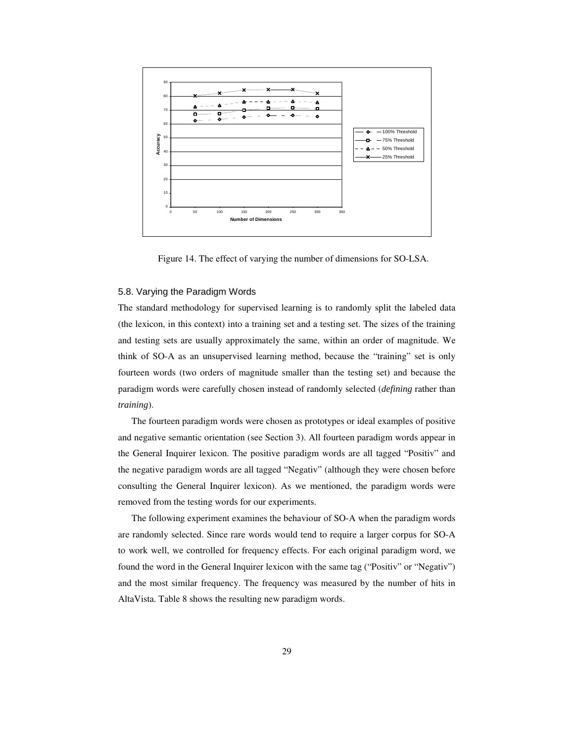

Figure 14. The effect of varying the number of dimensions for SO-LSA.

### 5.8. Varying the Paradigm Words

The standard methodology for supervised learning is to randomly split the labeled data (the lexicon, in this context) into a training set and a testing set. The sizes of the training and testing sets are usually approximately the same, within an order of magnitude. We think of SO-A as an unsupervised learning method, because the "training" set is only fourteen words (two orders of magnitude smaller than the testing set) and because the paradigm words were carefully chosen instead of randomly selected (*defining* rather than *training*).

The fourteen paradigm words were chosen as prototypes or ideal examples of positive and negative semantic orientation (see Section 3). All fourteen paradigm words appear in the General Inquirer lexicon. The positive paradigm words are all tagged "Positiv" and the negative paradigm words are all tagged "Negativ" (although they were chosen before consulting the General Inquirer lexicon). As we mentioned, the paradigm words were removed from the testing words for our experiments.

The following experiment examines the behaviour of SO-A when the paradigm words are randomly selected. Since rare words would tend to require a larger corpus for SO-A to work well, we controlled for frequency effects. For each original paradigm word, we found the word in the General Inquirer lexicon with the same tag ("Positiv" or "Negativ") and the most similar frequency. The frequency was measured by the number of hits in AltaVista. Table 8 shows the resulting new paradigm words.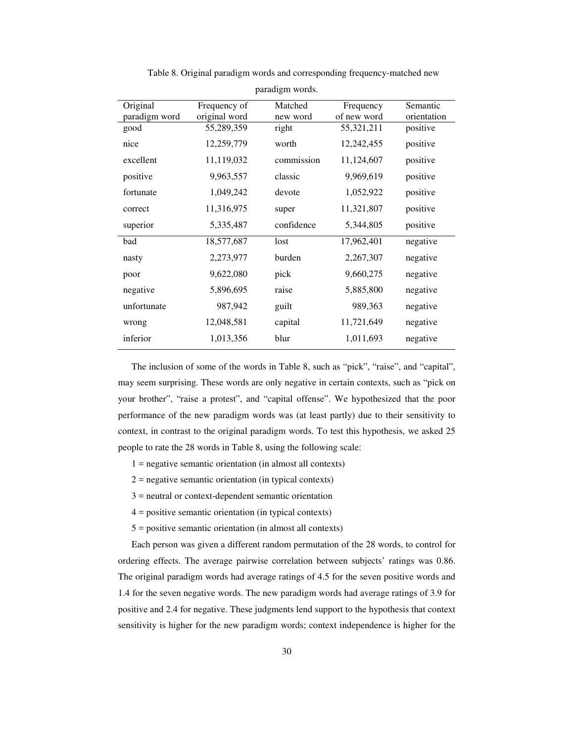| paradigm words. |               |            |             |             |  |
|-----------------|---------------|------------|-------------|-------------|--|
| Original        | Frequency of  | Matched    | Frequency   | Semantic    |  |
| paradigm word   | original word | new word   | of new word | orientation |  |
| good            | 55,289,359    | right      | 55,321,211  | positive    |  |
| nice            | 12,259,779    | worth      | 12,242,455  | positive    |  |
| excellent       | 11,119,032    | commission | 11,124,607  | positive    |  |
| positive        | 9,963,557     | classic    | 9,969,619   | positive    |  |
| fortunate       | 1,049,242     | devote     | 1,052,922   | positive    |  |
| correct         | 11,316,975    | super      | 11,321,807  | positive    |  |
| superior        | 5,335,487     | confidence | 5,344,805   | positive    |  |
| bad             | 18,577,687    | lost       | 17,962,401  | negative    |  |
| nasty           | 2,273,977     | burden     | 2,267,307   | negative    |  |
| poor            | 9,622,080     | pick       | 9,660,275   | negative    |  |
| negative        | 5,896,695     | raise      | 5,885,800   | negative    |  |
| unfortunate     | 987,942       | guilt      | 989,363     | negative    |  |
| wrong           | 12,048,581    | capital    | 11,721,649  | negative    |  |
| inferior        | 1,013,356     | blur       | 1,011,693   | negative    |  |
|                 |               |            |             |             |  |

Table 8. Original paradigm words and corresponding frequency-matched new

The inclusion of some of the words in Table 8, such as "pick", "raise", and "capital", may seem surprising. These words are only negative in certain contexts, such as "pick on your brother", "raise a protest", and "capital offense". We hypothesized that the poor performance of the new paradigm words was (at least partly) due to their sensitivity to context, in contrast to the original paradigm words. To test this hypothesis, we asked 25 people to rate the 28 words in Table 8, using the following scale:

- $1 =$  negative semantic orientation (in almost all contexts)
- $2$  = negative semantic orientation (in typical contexts)
- 3 = neutral or context-dependent semantic orientation
- 4 = positive semantic orientation (in typical contexts)
- 5 = positive semantic orientation (in almost all contexts)

Each person was given a different random permutation of the 28 words, to control for ordering effects. The average pairwise correlation between subjects' ratings was 0.86. The original paradigm words had average ratings of 4.5 for the seven positive words and 1.4 for the seven negative words. The new paradigm words had average ratings of 3.9 for positive and 2.4 for negative. These judgments lend support to the hypothesis that context sensitivity is higher for the new paradigm words; context independence is higher for the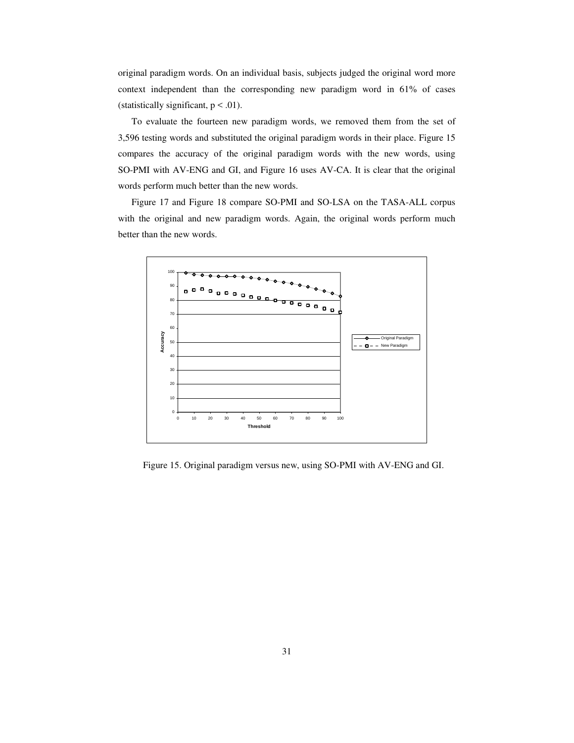original paradigm words. On an individual basis, subjects judged the original word more context independent than the corresponding new paradigm word in 61% of cases (statistically significant,  $p < .01$ ).

To evaluate the fourteen new paradigm words, we removed them from the set of 3,596 testing words and substituted the original paradigm words in their place. Figure 15 compares the accuracy of the original paradigm words with the new words, using SO-PMI with AV-ENG and GI, and Figure 16 uses AV-CA. It is clear that the original words perform much better than the new words.

Figure 17 and Figure 18 compare SO-PMI and SO-LSA on the TASA-ALL corpus with the original and new paradigm words. Again, the original words perform much better than the new words.



Figure 15. Original paradigm versus new, using SO-PMI with AV-ENG and GI.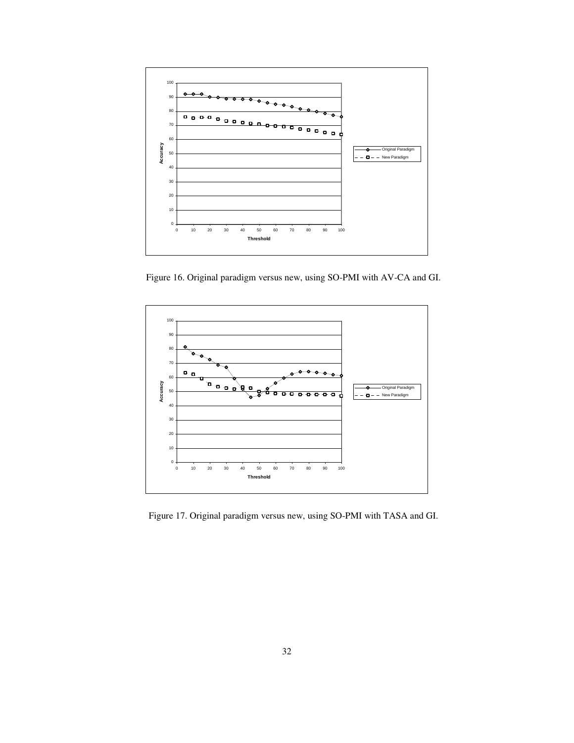

Figure 16. Original paradigm versus new, using SO-PMI with AV-CA and GI.



Figure 17. Original paradigm versus new, using SO-PMI with TASA and GI.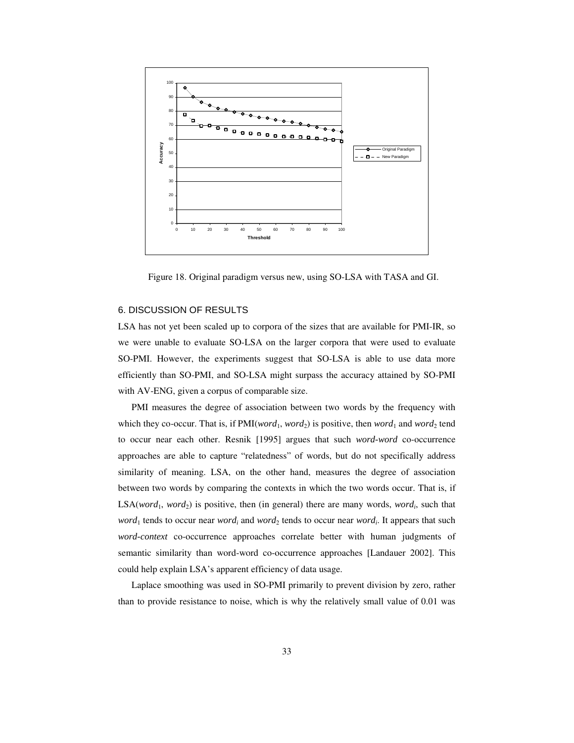

Figure 18. Original paradigm versus new, using SO-LSA with TASA and GI.

# 6. DISCUSSION OF RESULTS

LSA has not yet been scaled up to corpora of the sizes that are available for PMI-IR, so we were unable to evaluate SO-LSA on the larger corpora that were used to evaluate SO-PMI. However, the experiments suggest that SO-LSA is able to use data more efficiently than SO-PMI, and SO-LSA might surpass the accuracy attained by SO-PMI with AV-ENG, given a corpus of comparable size.

PMI measures the degree of association between two words by the frequency with which they co-occur. That is, if  $PMI(word_1, word_2)$  is positive, then *word*<sub>1</sub> and *word*<sub>2</sub> tend to occur near each other. Resnik [1995] argues that such *word-word* co-occurrence approaches are able to capture "relatedness" of words, but do not specifically address similarity of meaning. LSA, on the other hand, measures the degree of association between two words by comparing the contexts in which the two words occur. That is, if  $LSA(word_1, word_2)$  is positive, then (in general) there are many words, *word<sub>i</sub>*, such that *word*<sub>1</sub> tends to occur near *word*<sub>*i*</sub> and *word*<sub>2</sub> tends to occur near *word*<sub>*i*</sub>. It appears that such *word-context* co-occurrence approaches correlate better with human judgments of semantic similarity than word-word co-occurrence approaches [Landauer 2002]. This could help explain LSA's apparent efficiency of data usage.

Laplace smoothing was used in SO-PMI primarily to prevent division by zero, rather than to provide resistance to noise, which is why the relatively small value of 0.01 was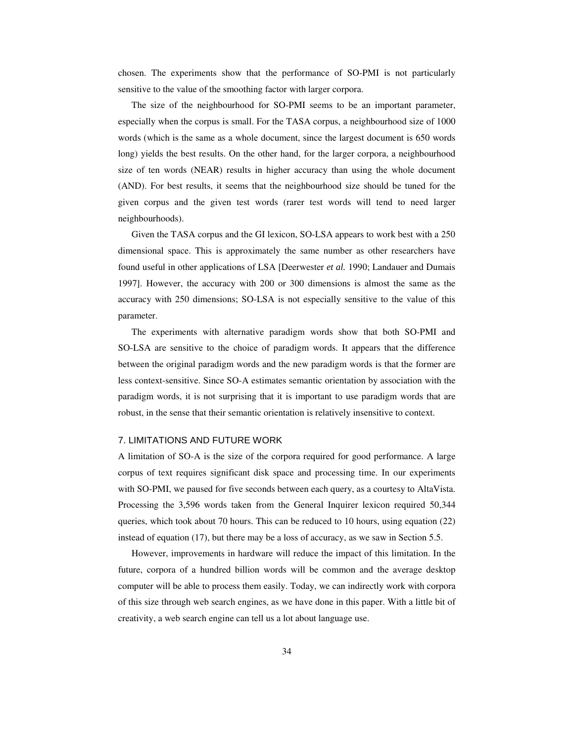chosen. The experiments show that the performance of SO-PMI is not particularly sensitive to the value of the smoothing factor with larger corpora.

The size of the neighbourhood for SO-PMI seems to be an important parameter, especially when the corpus is small. For the TASA corpus, a neighbourhood size of 1000 words (which is the same as a whole document, since the largest document is 650 words long) yields the best results. On the other hand, for the larger corpora, a neighbourhood size of ten words (NEAR) results in higher accuracy than using the whole document (AND). For best results, it seems that the neighbourhood size should be tuned for the given corpus and the given test words (rarer test words will tend to need larger neighbourhoods).

Given the TASA corpus and the GI lexicon, SO-LSA appears to work best with a 250 dimensional space. This is approximately the same number as other researchers have found useful in other applications of LSA [Deerwester *et al.* 1990; Landauer and Dumais 1997]. However, the accuracy with 200 or 300 dimensions is almost the same as the accuracy with 250 dimensions; SO-LSA is not especially sensitive to the value of this parameter.

The experiments with alternative paradigm words show that both SO-PMI and SO-LSA are sensitive to the choice of paradigm words. It appears that the difference between the original paradigm words and the new paradigm words is that the former are less context-sensitive. Since SO-A estimates semantic orientation by association with the paradigm words, it is not surprising that it is important to use paradigm words that are robust, in the sense that their semantic orientation is relatively insensitive to context.

#### 7. LIMITATIONS AND FUTURE WORK

A limitation of SO-A is the size of the corpora required for good performance. A large corpus of text requires significant disk space and processing time. In our experiments with SO-PMI, we paused for five seconds between each query, as a courtesy to AltaVista. Processing the 3,596 words taken from the General Inquirer lexicon required 50,344 queries, which took about 70 hours. This can be reduced to 10 hours, using equation (22) instead of equation (17), but there may be a loss of accuracy, as we saw in Section 5.5.

However, improvements in hardware will reduce the impact of this limitation. In the future, corpora of a hundred billion words will be common and the average desktop computer will be able to process them easily. Today, we can indirectly work with corpora of this size through web search engines, as we have done in this paper. With a little bit of creativity, a web search engine can tell us a lot about language use.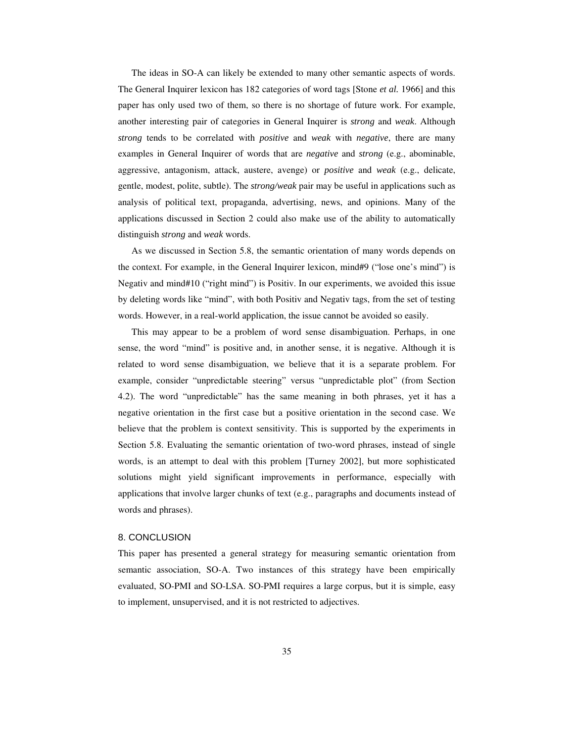The ideas in SO-A can likely be extended to many other semantic aspects of words. The General Inquirer lexicon has 182 categories of word tags [Stone *et al.* 1966] and this paper has only used two of them, so there is no shortage of future work. For example, another interesting pair of categories in General Inquirer is *strong* and *weak*. Although *strong* tends to be correlated with *positive* and *weak* with *negative*, there are many examples in General Inquirer of words that are *negative* and *strong* (e.g., abominable, aggressive, antagonism, attack, austere, avenge) or *positive* and *weak* (e.g., delicate, gentle, modest, polite, subtle). The *strong/weak* pair may be useful in applications such as analysis of political text, propaganda, advertising, news, and opinions. Many of the applications discussed in Section 2 could also make use of the ability to automatically distinguish *strong* and *weak* words.

As we discussed in Section 5.8, the semantic orientation of many words depends on the context. For example, in the General Inquirer lexicon, mind#9 ("lose one's mind") is Negativ and mind#10 ("right mind") is Positiv. In our experiments, we avoided this issue by deleting words like "mind", with both Positiv and Negativ tags, from the set of testing words. However, in a real-world application, the issue cannot be avoided so easily.

This may appear to be a problem of word sense disambiguation. Perhaps, in one sense, the word "mind" is positive and, in another sense, it is negative. Although it is related to word sense disambiguation, we believe that it is a separate problem. For example, consider "unpredictable steering" versus "unpredictable plot" (from Section 4.2). The word "unpredictable" has the same meaning in both phrases, yet it has a negative orientation in the first case but a positive orientation in the second case. We believe that the problem is context sensitivity. This is supported by the experiments in Section 5.8. Evaluating the semantic orientation of two-word phrases, instead of single words, is an attempt to deal with this problem [Turney 2002], but more sophisticated solutions might yield significant improvements in performance, especially with applications that involve larger chunks of text (e.g., paragraphs and documents instead of words and phrases).

#### 8. CONCLUSION

This paper has presented a general strategy for measuring semantic orientation from semantic association, SO-A. Two instances of this strategy have been empirically evaluated, SO-PMI and SO-LSA. SO-PMI requires a large corpus, but it is simple, easy to implement, unsupervised, and it is not restricted to adjectives.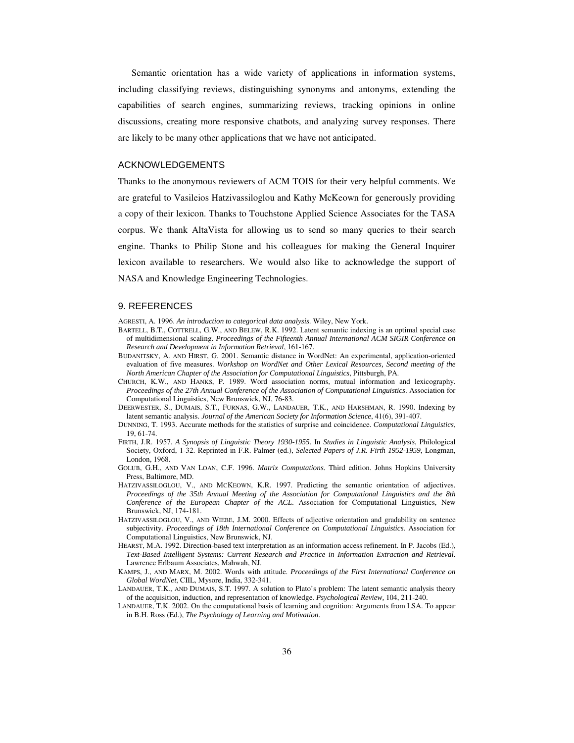Semantic orientation has a wide variety of applications in information systems, including classifying reviews, distinguishing synonyms and antonyms, extending the capabilities of search engines, summarizing reviews, tracking opinions in online discussions, creating more responsive chatbots, and analyzing survey responses. There are likely to be many other applications that we have not anticipated.

# ACKNOWLEDGEMENTS

Thanks to the anonymous reviewers of ACM TOIS for their very helpful comments. We are grateful to Vasileios Hatzivassiloglou and Kathy McKeown for generously providing a copy of their lexicon. Thanks to Touchstone Applied Science Associates for the TASA corpus. We thank AltaVista for allowing us to send so many queries to their search engine. Thanks to Philip Stone and his colleagues for making the General Inquirer lexicon available to researchers. We would also like to acknowledge the support of NASA and Knowledge Engineering Technologies.

#### 9. REFERENCES

AGRESTI, A. 1996. *An introduction to categorical data analysis*. Wiley, New York.

- BARTELL, B.T., COTTRELL, G.W., AND BELEW, R.K. 1992. Latent semantic indexing is an optimal special case of multidimensional scaling. *Proceedings of the Fifteenth Annual International ACM SIGIR Conference on Research and Development in Information Retrieval*, 161-167.
- BUDANITSKY, A. AND HIRST, G. 2001. Semantic distance in WordNet: An experimental, application-oriented evaluation of five measures. *Workshop on WordNet and Other Lexical Resources, Second meeting of the North American Chapter of the Association for Computational Linguistics*, Pittsburgh, PA.
- CHURCH, K.W., AND HANKS, P. 1989. Word association norms, mutual information and lexicography. *Proceedings of the 27th Annual Conference of the Association of Computational Linguistics*. Association for Computational Linguistics, New Brunswick, NJ, 76-83.
- DEERWESTER, S., DUMAIS, S.T., FURNAS, G.W., LANDAUER, T.K., AND HARSHMAN, R. 1990. Indexing by latent semantic analysis. *Journal of the American Society for Information Science*, 41(6), 391-407.
- DUNNING, T. 1993. Accurate methods for the statistics of surprise and coincidence. *Computational Linguistics*, 19, 61-74.
- FIRTH, J.R. 1957. *A Synopsis of Linguistic Theory 1930-1955*. In *Studies in Linguistic Analysis*, Philological Society, Oxford, 1-32. Reprinted in F.R. Palmer (ed.), *Selected Papers of J.R. Firth 1952-1959*, Longman, London, 1968.
- GOLUB, G.H., AND VAN LOAN, C.F. 1996. *Matrix Computations.* Third edition. Johns Hopkins University Press, Baltimore, MD.
- HATZIVASSILOGLOU, V., AND MCKEOWN, K.R. 1997. Predicting the semantic orientation of adjectives. *Proceedings of the 35th Annual Meeting of the Association for Computational Linguistics and the 8th Conference of the European Chapter of the ACL*. Association for Computational Linguistics, New Brunswick, NJ, 174-181.
- HATZIVASSILOGLOU, V., AND WIEBE, J.M. 2000. Effects of adjective orientation and gradability on sentence subjectivity. *Proceedings of 18th International Conference on Computational Linguistics*. Association for Computational Linguistics, New Brunswick, NJ.
- HEARST, M.A. 1992. Direction-based text interpretation as an information access refinement. In P. Jacobs (Ed.), *Text-Based Intelligent Systems: Current Research and Practice in Information Extraction and Retrieval.* Lawrence Erlbaum Associates, Mahwah, NJ.
- KAMPS, J., AND MARX, M. 2002. Words with attitude. *Proceedings of the First International Conference on Global WordNet*, CIIL, Mysore, India, 332-341.
- LANDAUER, T.K., AND DUMAIS, S.T. 1997. A solution to Plato's problem: The latent semantic analysis theory of the acquisition, induction, and representation of knowledge. *Psychological Review,* 104, 211-240.
- LANDAUER, T.K. 2002. On the computational basis of learning and cognition: Arguments from LSA. To appear in B.H. Ross (Ed.), *The Psychology of Learning and Motivation*.